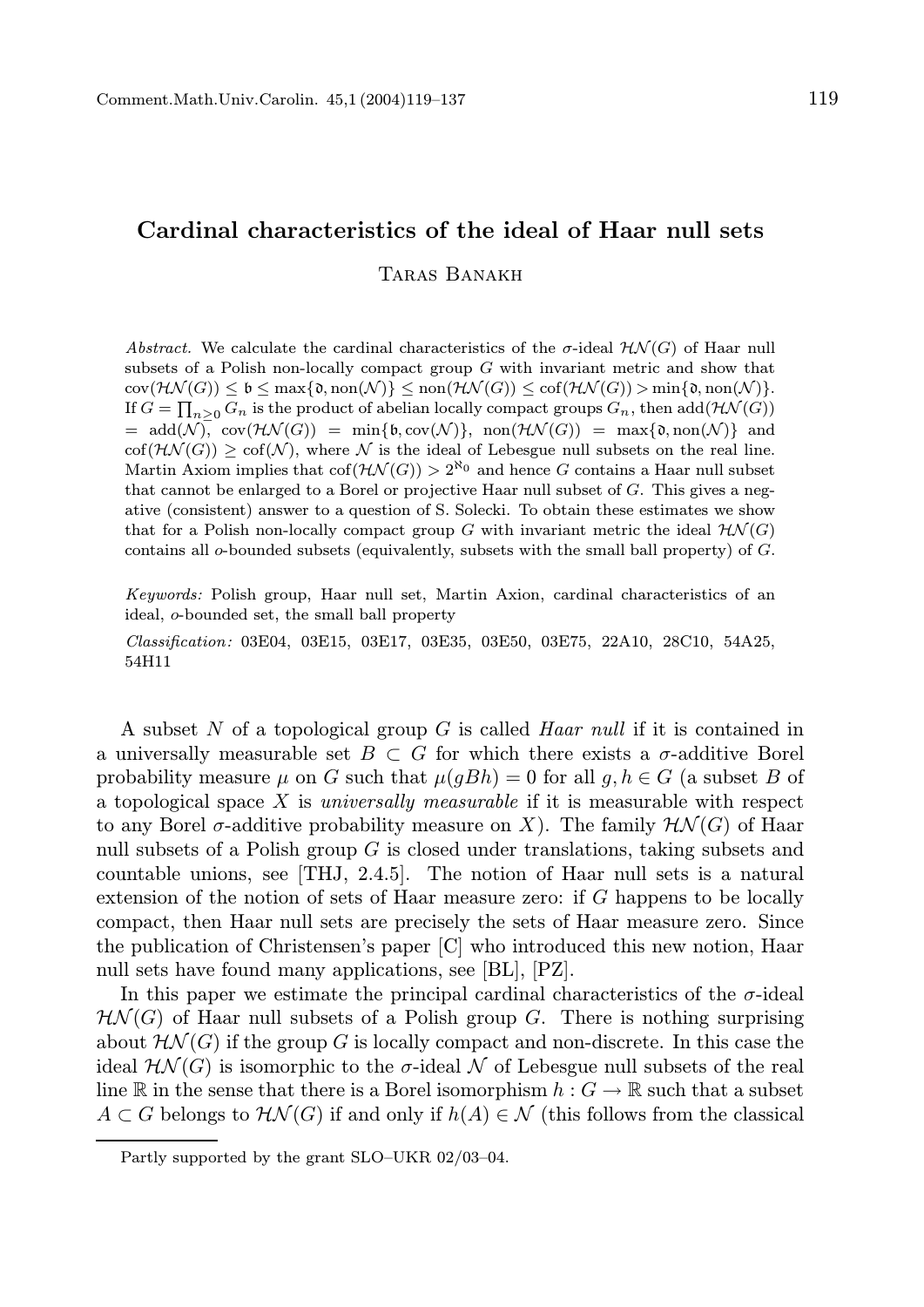# Cardinal characteristics of the ideal of Haar null sets

Taras Banakh

Abstract. We calculate the cardinal characteristics of the  $\sigma$ -ideal  $\mathcal{H}\mathcal{N}(G)$  of Haar null subsets of a Polish non-locally compact group  $G$  with invariant metric and show that  $\text{cov}(\mathcal{HN}(G)) \leq \mathfrak{b} \leq \max\{\mathfrak{d},\text{non}(\mathcal{NN}(G))\leq \text{non}(\mathcal{HN}(G)) > \min\{\mathfrak{d},\text{non}(\mathcal{N})\}.$ If  $G = \prod_{n \geq 0} G_n$  is the product of abelian locally compact groups  $G_n$ , then  $\mathrm{add}(\mathcal{HN}(G))$  $= \text{add}(\mathcal{N})$ ,  $\text{cov}(\mathcal{HN}(G)) = \min{\{\mathfrak{b}, \text{cov}(\mathcal{N})\}}$ ,  $\text{non}(\mathcal{HN}(G)) = \max{\{\mathfrak{d}, \text{non}(\mathcal{N})\}}$  and  $\text{cof}(\mathcal{H}\mathcal{N}(G))$  >  $\text{cof}(\mathcal{N})$ , where  $\mathcal N$  is the ideal of Lebesgue null subsets on the real line. Martin Axiom implies that  $\text{cof}(\mathcal{HN}(G)) > 2^{\aleph_0}$  and hence G contains a Haar null subset that cannot be enlarged to a Borel or projective Haar null subset of G. This gives a negative (consistent) answer to a question of S. Solecki. To obtain these estimates we show that for a Polish non-locally compact group G with invariant metric the ideal  $H\mathcal{N}(G)$ contains all o-bounded subsets (equivalently, subsets with the small ball property) of G.

Keywords: Polish group, Haar null set, Martin Axion, cardinal characteristics of an ideal, o-bounded set, the small ball property

Classification: 03E04, 03E15, 03E17, 03E35, 03E50, 03E75, 22A10, 28C10, 54A25, 54H11

A subset N of a topological group G is called Haar null if it is contained in a universally measurable set  $B \subset G$  for which there exists a  $\sigma$ -additive Borel probability measure  $\mu$  on G such that  $\mu(gBh) = 0$  for all  $g, h \in G$  (a subset B of a topological space  $X$  is *universally measurable* if it is measurable with respect to any Borel  $\sigma$ -additive probability measure on X). The family  $\mathcal{H}\mathcal{N}(G)$  of Haar null subsets of a Polish group  $G$  is closed under translations, taking subsets and countable unions, see [THJ, 2.4.5]. The notion of Haar null sets is a natural extension of the notion of sets of Haar measure zero: if G happens to be locally compact, then Haar null sets are precisely the sets of Haar measure zero. Since the publication of Christensen's paper [C] who introduced this new notion, Haar null sets have found many applications, see [BL], [PZ].

In this paper we estimate the principal cardinal characteristics of the  $\sigma$ -ideal  $H\mathcal{N}(G)$  of Haar null subsets of a Polish group G. There is nothing surprising about  $\mathcal{HN}(G)$  if the group G is locally compact and non-discrete. In this case the ideal  $\mathcal{H}\mathcal{N}(G)$  is isomorphic to the  $\sigma$ -ideal  $\mathcal N$  of Lebesgue null subsets of the real line R in the sense that there is a Borel isomorphism  $h: G \to \mathbb{R}$  such that a subset  $A \subset G$  belongs to  $\mathcal{HN}(G)$  if and only if  $h(A) \in \mathcal{N}$  (this follows from the classical

Partly supported by the grant SLO–UKR 02/03–04.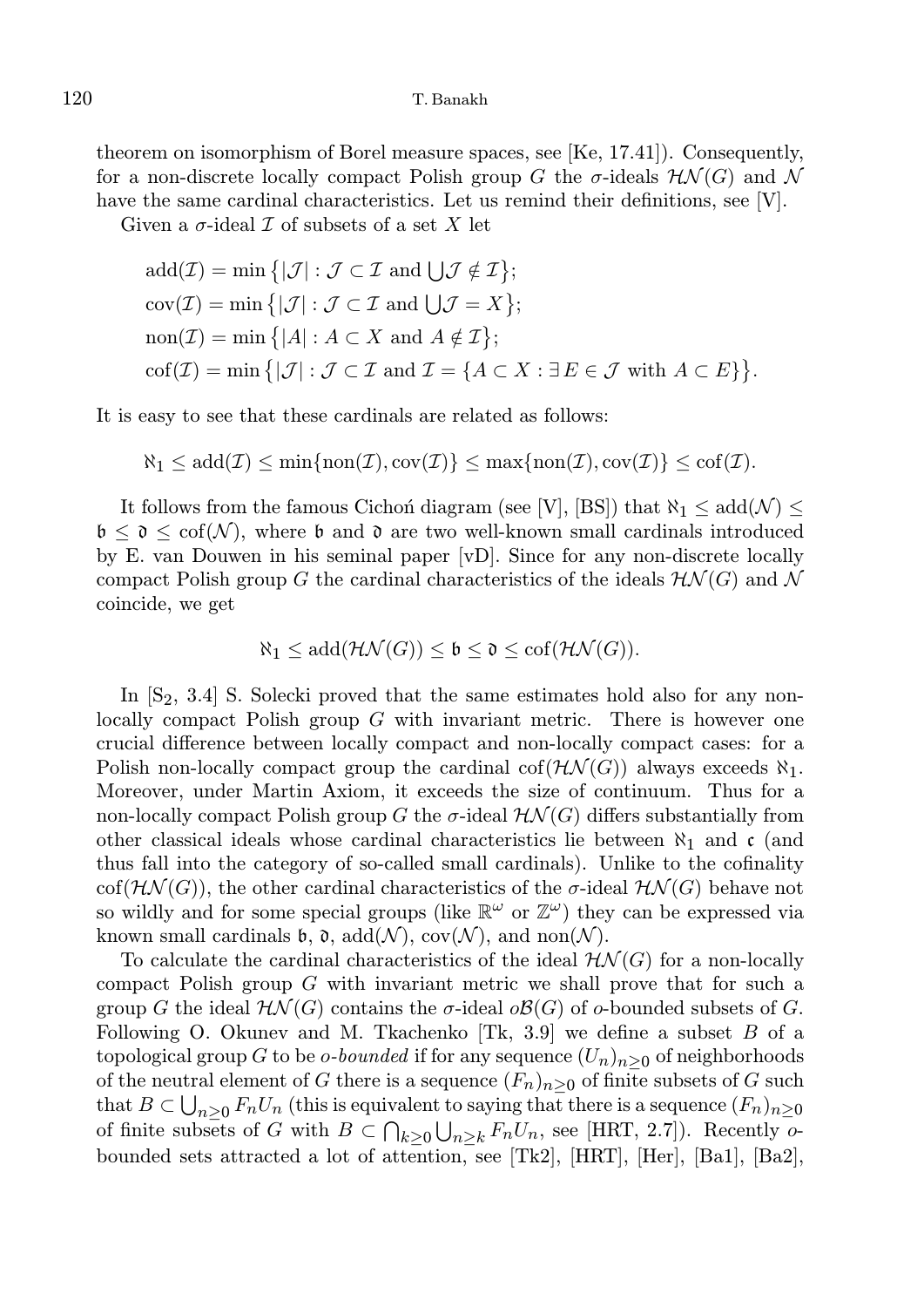theorem on isomorphism of Borel measure spaces, see [Ke, 17.41]). Consequently, for a non-discrete locally compact Polish group G the  $\sigma$ -ideals  $\mathcal{HN}(G)$  and N have the same cardinal characteristics. Let us remind their definitions, see [V].

Given a  $\sigma$ -ideal  $\mathcal I$  of subsets of a set X let

$$
add(\mathcal{I}) = \min \{|\mathcal{J}| : \mathcal{J} \subset \mathcal{I} \text{ and } \bigcup \mathcal{J} \notin \mathcal{I}\};
$$
  
\n
$$
cov(\mathcal{I}) = \min \{|\mathcal{J}| : \mathcal{J} \subset \mathcal{I} \text{ and } \bigcup \mathcal{J} = X\};
$$
  
\n
$$
non(\mathcal{I}) = \min \{ |A| : A \subset X \text{ and } A \notin \mathcal{I}\};
$$
  
\n
$$
cof(\mathcal{I}) = \min \{ |\mathcal{J}| : \mathcal{J} \subset \mathcal{I} \text{ and } \mathcal{I} = \{ A \subset X : \exists E \in \mathcal{J} \text{ with } A \subset E \} \}.
$$

It is easy to see that these cardinals are related as follows:

$$
\aleph_1\leq \mathrm{add}(\mathcal{I})\leq \min\{\mathrm{non}(\mathcal{I}),\mathrm{cov}(\mathcal{I})\}\leq \max\{\mathrm{non}(\mathcal{I}),\mathrm{cov}(\mathcal{I})\}\leq \mathrm{cof}(\mathcal{I}).
$$

It follows from the famous Cichon diagram (see [V], [BS]) that  $\aleph_1 \leq \text{add}(\mathcal{N}) \leq$  $\mathfrak{b} \leq \mathfrak{d} \leq \mathrm{cof}(\mathcal{N})$ , where  $\mathfrak{b}$  and  $\mathfrak{d}$  are two well-known small cardinals introduced by E. van Douwen in his seminal paper [vD]. Since for any non-discrete locally compact Polish group G the cardinal characteristics of the ideals  $H\mathcal{N}(G)$  and N coincide, we get

$$
\aleph_1 \leq \mathrm{add}(\mathcal{HN}(G)) \leq \mathfrak{b} \leq \mathfrak{d} \leq \mathrm{cof}(\mathcal{HN}(G)).
$$

In  $[S_2, 3.4]$  S. Solecki proved that the same estimates hold also for any nonlocally compact Polish group  $G$  with invariant metric. There is however one crucial difference between locally compact and non-locally compact cases: for a Polish non-locally compact group the cardinal  $co(f(\mathcal{H}\mathcal{N}(G)))$  always exceeds  $\aleph_1$ . Moreover, under Martin Axiom, it exceeds the size of continuum. Thus for a non-locally compact Polish group G the  $\sigma$ -ideal  $\mathcal{H}\mathcal{N}(G)$  differs substantially from other classical ideals whose cardinal characteristics lie between  $\aleph_1$  and c (and thus fall into the category of so-called small cardinals). Unlike to the cofinality cof( $\mathcal{HN}(G)$ ), the other cardinal characteristics of the  $\sigma$ -ideal  $\mathcal{HN}(G)$  behave not so wildly and for some special groups (like  $\mathbb{R}^{\omega}$  or  $\mathbb{Z}^{\omega}$ ) they can be expressed via known small cardinals  $\mathfrak{b}$ ,  $\mathfrak{d}$ ,  $\text{add}(\mathcal{N})$ ,  $\text{cov}(\mathcal{N})$ , and  $\text{non}(\mathcal{N})$ .

To calculate the cardinal characteristics of the ideal  $H\mathcal{N}(G)$  for a non-locally compact Polish group G with invariant metric we shall prove that for such a group G the ideal  $\mathcal{H}\mathcal{N}(G)$  contains the  $\sigma$ -ideal  $\partial\mathcal{B}(G)$  of  $\sigma$ -bounded subsets of G. Following O. Okunev and M. Tkachenko  $[Tk, 3.9]$  we define a subset B of a topological group G to be *o-bounded* if for any sequence  $(U_n)_{n>0}$  of neighborhoods of the neutral element of G there is a sequence  $(F_n)_{n>0}$  of finite subsets of G such that  $B\subset \bigcup_{n\geq 0}F_nU_n$  (this is equivalent to saying that there is a sequence  $(F_n)_{n\geq 0}$ of finite subsets of G with  $B \subset \bigcap_{k>0} \bigcup_{n\geq k} F_nU_n$ , see [HRT, 2.7]). Recently obounded sets attracted a lot of attention, see [Tk2], [HRT], [Her], [Ba1], [Ba2],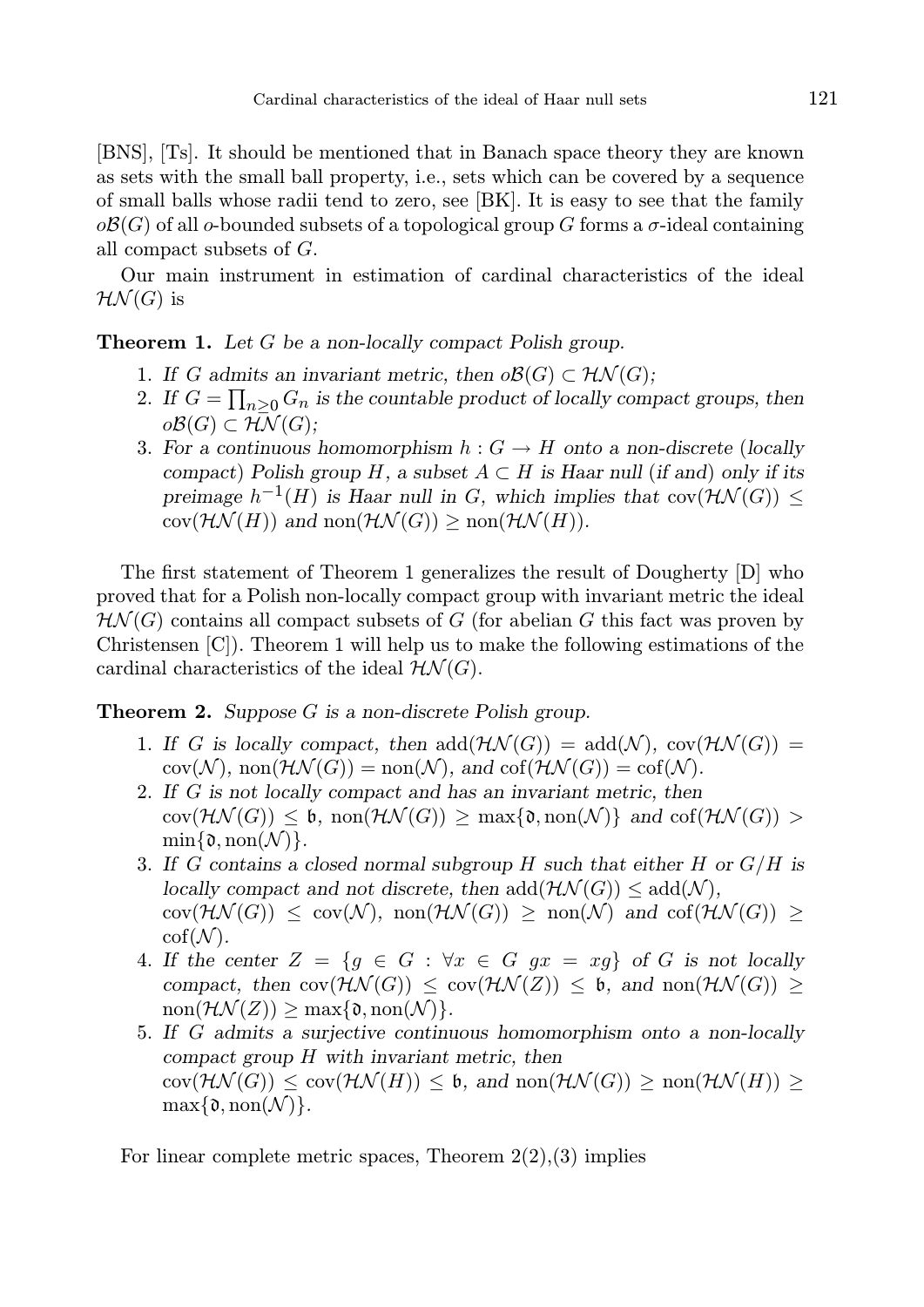[BNS], [Ts]. It should be mentioned that in Banach space theory they are known as sets with the small ball property, i.e., sets which can be covered by a sequence of small balls whose radii tend to zero, see [BK]. It is easy to see that the family  $\partial \mathcal{B}(G)$  of all *o*-bounded subsets of a topological group G forms a  $\sigma$ -ideal containing all compact subsets of G.

Our main instrument in estimation of cardinal characteristics of the ideal  $H\mathcal{N}(G)$  is

# **Theorem 1.** Let G be a non-locally compact Polish group.

- 1. If G admits an invariant metric, then  $\partial \mathcal{B}(G) \subset \mathcal{HN}(G)$ ;
- 2. If  $G = \prod_{n \geq 0} G_n$  is the countable product of locally compact groups, then  $o\mathcal{B}(G) \subset H\overline{\mathcal{N}}(G)$ :
- 3. For a continuous homomorphism  $h: G \to H$  onto a non-discrete (locally compact) Polish group H, a subset  $A \subset H$  is Haar null (if and) only if its preimage  $h^{-1}(H)$  is Haar null in G, which implies that  $cov(\mathcal{HN}(G)) \leq$  $cov(\mathcal{HN}(H))$  and  $non(\mathcal{HN}(G)) \geq non(\mathcal{HN}(H)).$

The first statement of Theorem 1 generalizes the result of Dougherty [D] who proved that for a Polish non-locally compact group with invariant metric the ideal  $H\mathcal{N}(G)$  contains all compact subsets of G (for abelian G this fact was proven by Christensen [C]). Theorem 1 will help us to make the following estimations of the cardinal characteristics of the ideal  $H\mathcal{N}(G)$ .

**Theorem 2.** Suppose  $G$  is a non-discrete Polish group.

- 1. If G is locally compact, then  $add(\mathcal{H}\mathcal{N}(G)) = add(\mathcal{N}), cov(\mathcal{H}\mathcal{N}(G)) =$  $cov(\mathcal{N}), \, \text{non}(\mathcal{HN}(G)) = \text{non}(\mathcal{N}), \, \text{and} \, \text{cof}(\mathcal{HN}(G)) = \text{cof}(\mathcal{N}).$
- 2. If G is not locally compact and has an invariant metric, then  $cov(\mathcal{HN}(G)) \leq \mathfrak{b}, \text{ non}(\mathcal{HN}(G)) \geq \max\{\mathfrak{d}, \text{non}(\mathcal{N})\} \text{ and } cof(\mathcal{HN}(G)) >$  $\min\{\mathfrak{d}, \text{non}(\mathcal{N})\}.$
- 3. If G contains a closed normal subgroup H such that either H or  $G/H$  is locally compact and not discrete, then  $add(\mathcal{HN}(G)) \le add(\mathcal{N}),$  $cov(\mathcal{HN}(G)) \leq cov(\mathcal{N}), \text{ non}(\mathcal{HN}(G)) \geq \text{ non}(\mathcal{N}) \text{ and } cof(\mathcal{HN}(G)) \geq$  $\mathrm{cof}(\mathcal{N}).$
- 4. If the center  $Z = \{g \in G : \forall x \in G \text{ } gx = xg\}$  of G is not locally compact, then  $cov(\mathcal{HN}(G)) \leq cov(\mathcal{HN}(Z)) \leq \mathfrak{b}$ , and  $non(\mathcal{HN}(G)) \geq$  $\text{non}(\mathcal{HN}(Z)) > \text{max}\{\mathfrak{d}, \text{non}(\mathcal{N})\}.$
- 5. If G admits a surjective continuous homomorphism onto a non-locally compact group H with invariant metric, then  $cov(\mathcal{HN}(G)) \le cov(\mathcal{HN}(H)) \le \mathfrak{b}, \text{ and } \text{non}(\mathcal{HN}(G)) \ge \text{non}(\mathcal{HN}(H)) \ge$  $\max\{\mathfrak{d}, \text{non}(\mathcal{N})\}.$

For linear complete metric spaces, Theorem  $2(2),(3)$  implies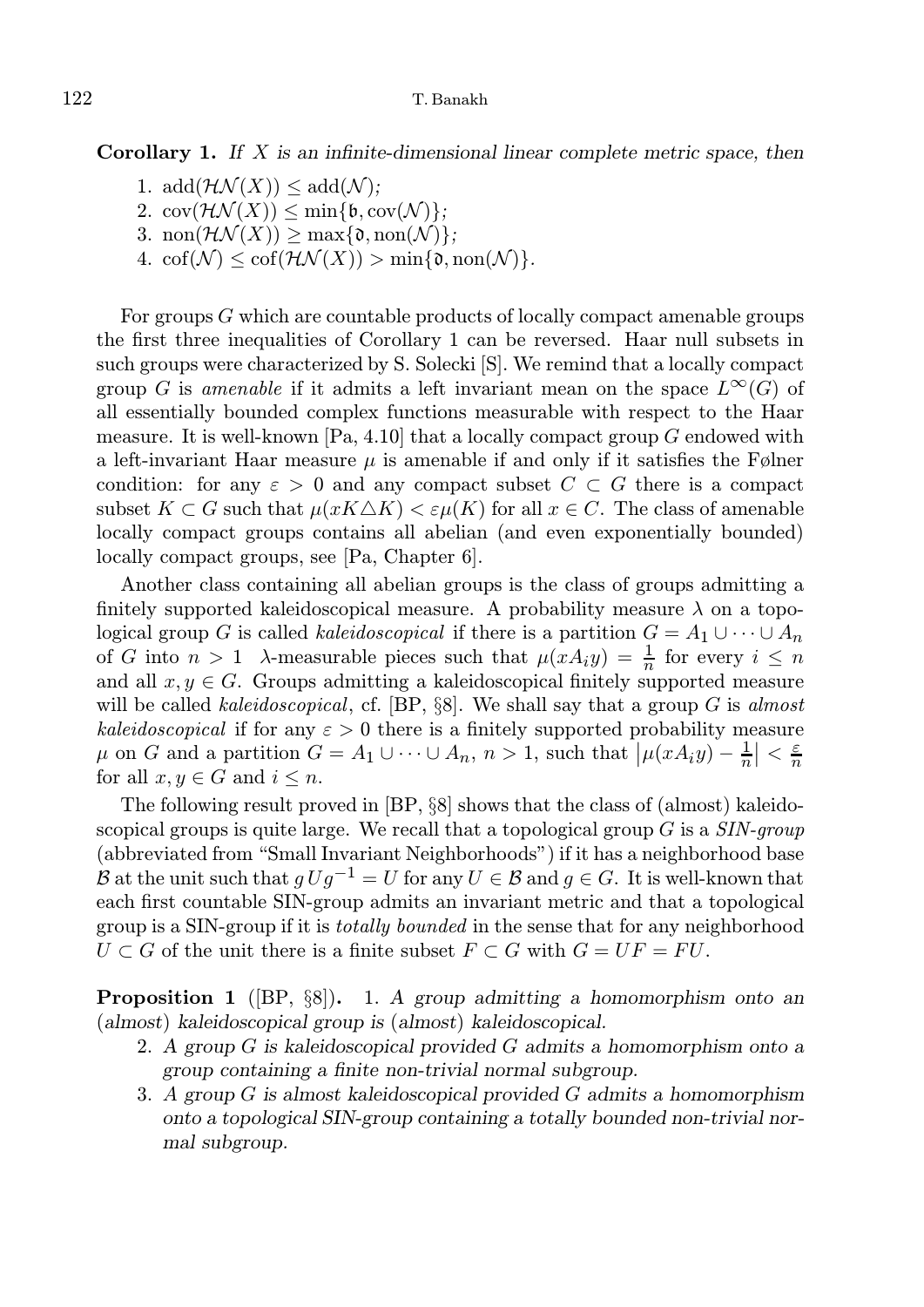**Corollary 1.** If  $X$  is an infinite-dimensional linear complete metric space, then

- 1. add $(\mathcal{HN}(X)) \leq \text{add}(\mathcal{N});$
- 2.  $\text{cov}(\mathcal{HN}(X)) \leq \min\{\mathfrak{b}, \text{cov}(\mathcal{N})\};$
- 3. non $(\mathcal{HN}(X)) \geq \max\{\mathfrak{d}, \text{non}(\mathcal{N})\};$
- 4.  $\operatorname{cof}(\mathcal{N}) \leq \operatorname{cof}(\mathcal{HN}(X)) > \min\{\mathfrak{d}, \operatorname{non}(\mathcal{N})\}.$

For groups  $G$  which are countable products of locally compact amenable groups the first three inequalities of Corollary 1 can be reversed. Haar null subsets in such groups were characterized by S. Solecki [S]. We remind that a locally compact group G is amenable if it admits a left invariant mean on the space  $L^{\infty}(G)$  of all essentially bounded complex functions measurable with respect to the Haar measure. It is well-known  $[Pa, 4.10]$  that a locally compact group G endowed with a left-invariant Haar measure  $\mu$  is amenable if and only if it satisfies the Følner condition: for any  $\varepsilon > 0$  and any compact subset  $C \subset G$  there is a compact subset  $K \subset G$  such that  $\mu(xK\triangle K) < \varepsilon\mu(K)$  for all  $x \in C$ . The class of amenable locally compact groups contains all abelian (and even exponentially bounded) locally compact groups, see [Pa, Chapter 6].

Another class containing all abelian groups is the class of groups admitting a finitely supported kaleidoscopical measure. A probability measure  $\lambda$  on a topological group G is called kaleidoscopical if there is a partition  $G = A_1 \cup \cdots \cup A_n$ of G into  $n > 1$   $\lambda$ -measurable pieces such that  $\mu(xA_i y) = \frac{1}{n}$  for every  $i \leq n$ and all  $x, y \in G$ . Groups admitting a kaleidoscopical finitely supported measure will be called *kaleidoscopical*, cf.  $[BP, \S8]$ . We shall say that a group G is almost kaleidoscopical if for any  $\varepsilon > 0$  there is a finitely supported probability measure  $\mu$  on G and a partition  $G = A_1 \cup \cdots \cup A_n$ ,  $n > 1$ , such that  $|\mu(xA_i y) - \frac{1}{n}| < \frac{\varepsilon}{n}$ for all  $x, y \in G$  and  $i \leq n$ .

The following result proved in [BP, §8] shows that the class of (almost) kaleidoscopical groups is quite large. We recall that a topological group  $G$  is a  $SIN-group$ (abbreviated from "Small Invariant Neighborhoods") if it has a neighborhood base B at the unit such that  $g U g^{-1} = U$  for any  $U \in \mathcal{B}$  and  $g \in G$ . It is well-known that each first countable SIN-group admits an invariant metric and that a topological group is a SIN-group if it is totally bounded in the sense that for any neighborhood  $U \subset G$  of the unit there is a finite subset  $F \subset G$  with  $G = UF = FU$ .

**Proposition 1** ( $[BP, §8]$ ). 1. A group admitting a homomorphism onto an (almost) kaleidoscopical group is (almost) kaleidoscopical.

- 2. A group  $G$  is kaleidoscopical provided  $G$  admits a homomorphism onto a group containing a finite non-trivial normal subgroup.
- 3. A group G is almost kaleidoscopical provided G admits a homomorphism onto a topological SIN-group containing a totally bounded non-trivial normal subgroup.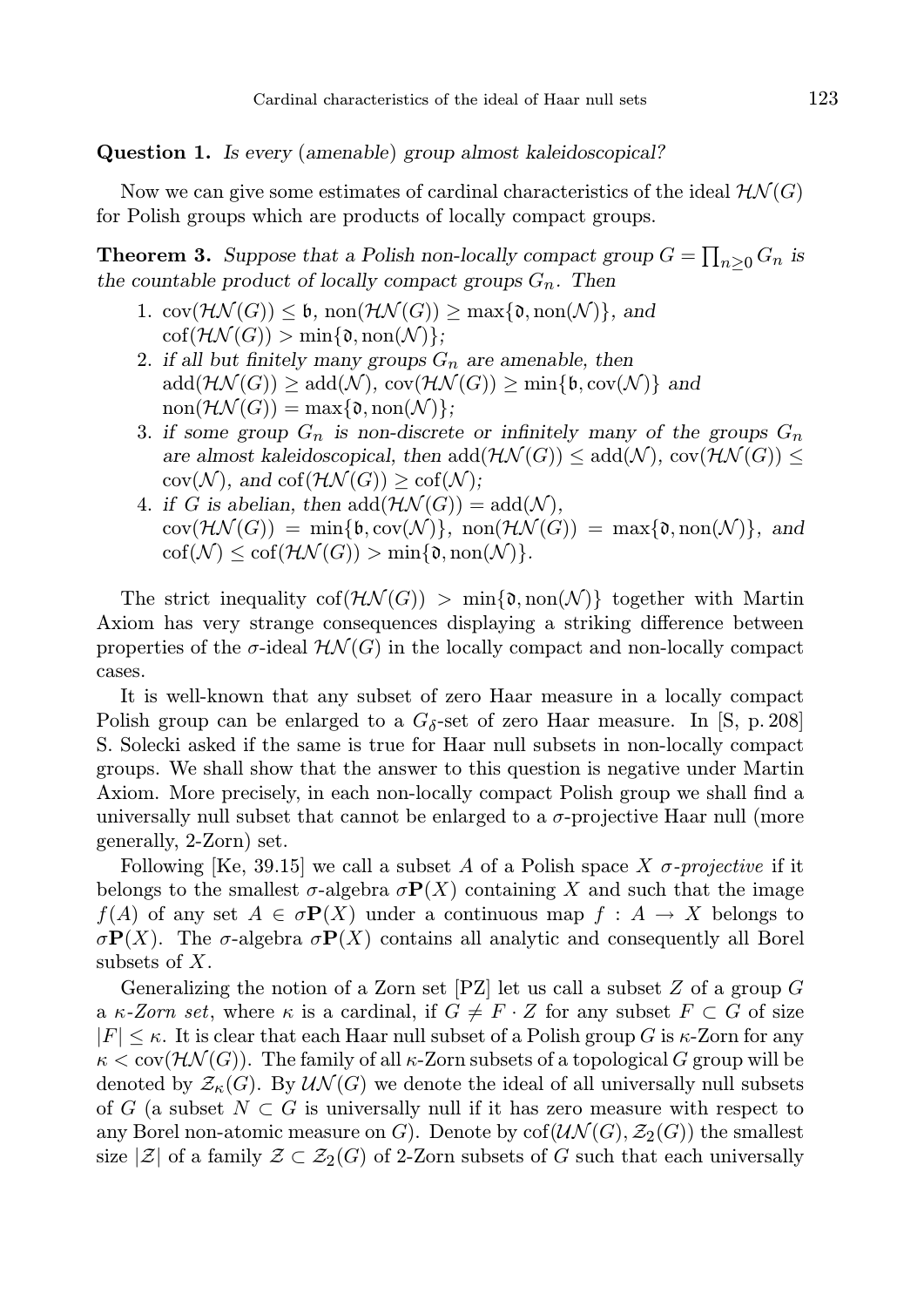Question 1. Is every (amenable) group almost kaleidoscopical?

Now we can give some estimates of cardinal characteristics of the ideal  $H\mathcal{N}(G)$ for Polish groups which are products of locally compact groups.

**Theorem 3.** Suppose that a Polish non-locally compact group  $G = \prod_{n \geq 0} G_n$  is the countable product of locally compact groups  $G_n$ . Then

- 1.  $cov(\mathcal{HN}(G)) \leq \mathfrak{b}, \, \text{non}(\mathcal{HN}(G)) \geq \max\{\mathfrak{d}, \text{non}(\mathcal{N})\}, \, \text{and}$  $\operatorname{cof}(\mathcal{HN}(G)) > \min\{\mathfrak{d}, \operatorname{non}(\mathcal{N})\};$
- 2. if all but finitely many groups  $G_n$  are amenable, then  $\text{add}(\mathcal{HN}(G)) \geq \text{add}(\mathcal{N}), \text{cov}(\mathcal{HN}(G)) \geq \min\{\mathfrak{b}, \text{cov}(\mathcal{N})\}\$ and  $\text{non}(\mathcal{HN}(G)) = \max\{\mathfrak{d}, \text{non}(\mathcal{N})\};$
- 3. if some group  $G_n$  is non-discrete or infinitely many of the groups  $G_n$ are almost kaleidoscopical, then  $add(\mathcal{H}\mathcal{N}(G)) \leq add(\mathcal{N}), cov(\mathcal{H}\mathcal{N}(G)) \leq$  $cov(\mathcal{N}),$  and  $cof(\mathcal{HN}(G)) \geq cof(\mathcal{N});$
- 4. if G is abelian, then  $add(\mathcal{HN}(G)) = add(\mathcal{N}),$  $cov(\mathcal{HN}(G)) = min{\mathfrak{b}, cov(\mathcal{N})}, non(\mathcal{HN}(G)) = max{\mathfrak{d}, non(\mathcal{N})}, and$  $\text{cof}(\mathcal{N}) \leq \text{cof}(\mathcal{HN}(G)) > \min\{\mathfrak{d},\text{non}(\mathcal{N})\}.$

The strict inequality  $\text{cof}(\mathcal{HN}(G)) > \min\{\mathfrak{d}, \text{non}(\mathcal{N})\}\)$  together with Martin Axiom has very strange consequences displaying a striking difference between properties of the  $\sigma$ -ideal  $\mathcal{H}\mathcal{N}(G)$  in the locally compact and non-locally compact cases.

It is well-known that any subset of zero Haar measure in a locally compact Polish group can be enlarged to a  $G_{\delta}$ -set of zero Haar measure. In [S, p. 208] S. Solecki asked if the same is true for Haar null subsets in non-locally compact groups. We shall show that the answer to this question is negative under Martin Axiom. More precisely, in each non-locally compact Polish group we shall find a universally null subset that cannot be enlarged to a  $\sigma$ -projective Haar null (more generally, 2-Zorn) set.

Following [Ke, 39.15] we call a subset A of a Polish space X  $\sigma$ -projective if it belongs to the smallest  $\sigma$ -algebra  $\sigma P(X)$  containing X and such that the image  $f(A)$  of any set  $A \in \sigma \mathbf{P}(X)$  under a continuous map  $f : A \to X$  belongs to σ**P**(X). The σ-algebra σ**P**(X) contains all analytic and consequently all Borel subsets of  $X$ .

Generalizing the notion of a Zorn set  $[PZ]$  let us call a subset Z of a group G a  $\kappa$ -Zorn set, where  $\kappa$  is a cardinal, if  $G \neq F \cdot Z$  for any subset  $F \subset G$  of size  $|F| \leq \kappa$ . It is clear that each Haar null subset of a Polish group G is  $\kappa$ -Zorn for any  $\kappa <$  cov( $\mathcal{HN}(G)$ ). The family of all  $\kappa$ -Zorn subsets of a topological G group will be denoted by  $\mathcal{Z}_{\kappa}(G)$ . By  $\mathcal{UN}(G)$  we denote the ideal of all universally null subsets of G (a subset  $N \subset G$  is universally null if it has zero measure with respect to any Borel non-atomic measure on G). Denote by  $\text{cof}(\mathcal{UN}(G), \mathcal{Z}_2(G))$  the smallest size  $|\mathcal{Z}|$  of a family  $\mathcal{Z} \subset \mathcal{Z}_2(G)$  of 2-Zorn subsets of G such that each universally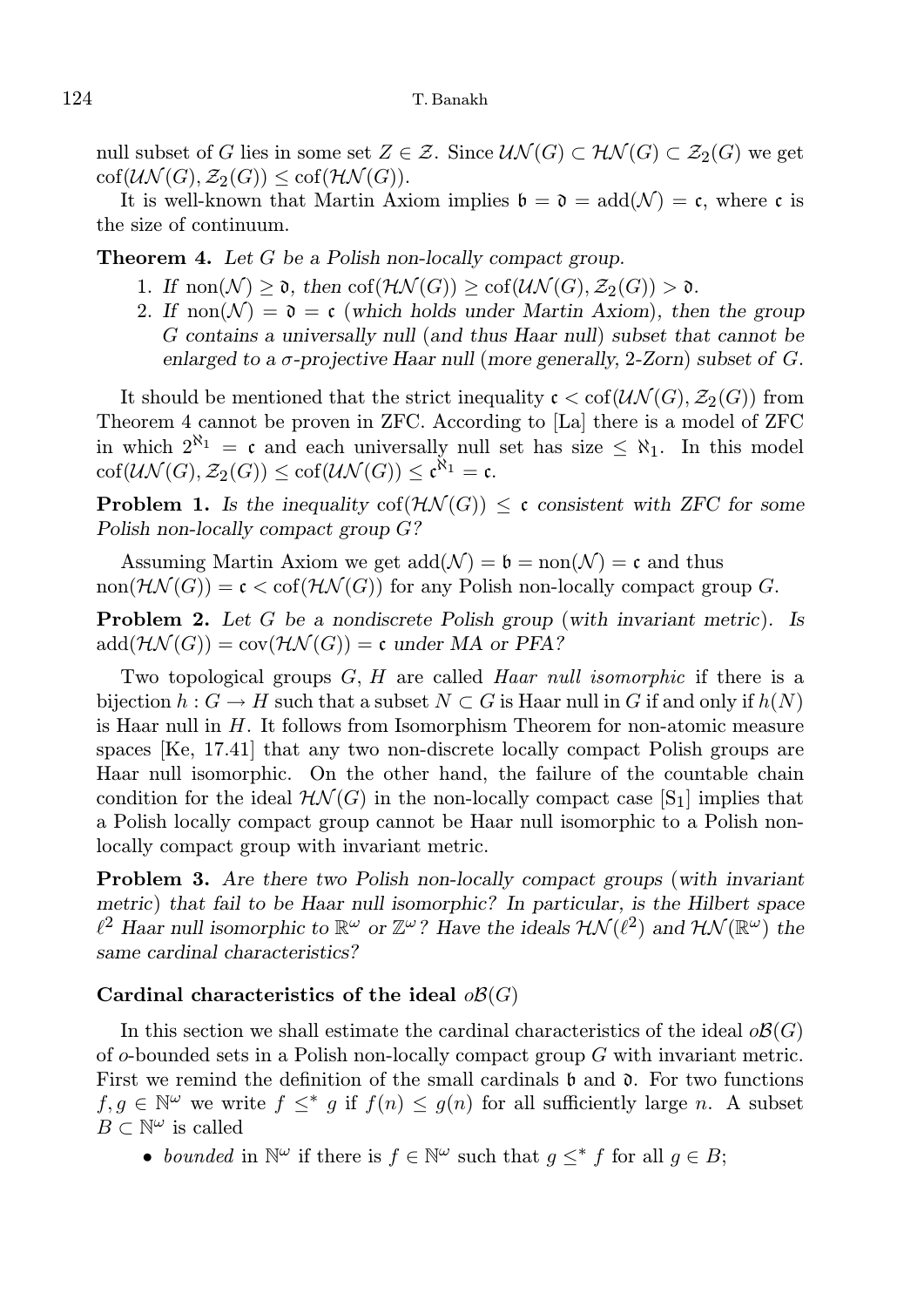null subset of G lies in some set  $Z \in \mathcal{Z}$ . Since  $\mathcal{UN}(G) \subset \mathcal{HN}(G) \subset \mathcal{Z}_2(G)$  we get  $\text{cof}(\mathcal{UN}(G), \mathcal{Z}_2(G)) \leq \text{cof}(\mathcal{HN}(G)).$ 

It is well-known that Martin Axiom implies  $\mathfrak{b} = \mathfrak{d} = \text{add}(\mathcal{N}) = \mathfrak{c}$ , where c is the size of continuum.

**Theorem 4.** Let  $G$  be a Polish non-locally compact group.

- 1. If  $\text{non}(\mathcal{N}) > \mathfrak{d}$ , then  $\text{cof}(\mathcal{H}\mathcal{N}(G)) > \text{cof}(\mathcal{U}\mathcal{N}(G), \mathcal{Z}_2(G)) > \mathfrak{d}$ .
- 2. If  $\text{non}(\mathcal{N}) = \mathfrak{d} = \mathfrak{c}$  (which holds under Martin Axiom), then the group G contains a universally null (and thus Haar null) subset that cannot be enlarged to a  $\sigma$ -projective Haar null (more generally, 2-Zorn) subset of G.

It should be mentioned that the strict inequality  $\mathfrak{c} < \text{cof}(\mathcal{UN}(G), \mathcal{Z}_2(G))$  from Theorem 4 cannot be proven in ZFC. According to [La] there is a model of ZFC in which  $2^{\aleph_1} = \mathfrak{c}$  and each universally null set has size  $\leq \aleph_1$ . In this model  $\mathrm{cof}(\mathcal{UN}(G), \mathcal{Z}_2(G)) \leq \mathrm{cof}(\mathcal{UN}(G)) \leq \mathfrak{c}^{\aleph_1} = \mathfrak{c}.$ 

**Problem 1.** Is the inequality  $\text{cof}(\mathcal{HN}(G)) \leq \mathfrak{c}$  consistent with ZFC for some Polish non-locally compact group G?

Assuming Martin Axiom we get  $\text{add}(\mathcal{N}) = \mathfrak{b} = \text{non}(\mathcal{N}) = \mathfrak{c}$  and thus non $(\mathcal{H}\mathcal{N}(G)) = \mathfrak{c} < \text{cof}(\mathcal{H}\mathcal{N}(G))$  for any Polish non-locally compact group G.

Problem 2. Let G be a nondiscrete Polish group (with invariant metric). Is  $add(\mathcal{HN}(G)) = cov(\mathcal{HN}(G)) = c$  under MA or PFA?

Two topological groups  $G, H$  are called Haar null isomorphic if there is a bijection  $h : G \to H$  such that a subset  $N \subset G$  is Haar null in G if and only if  $h(N)$ is Haar null in H. It follows from Isomorphism Theorem for non-atomic measure spaces [Ke, 17.41] that any two non-discrete locally compact Polish groups are Haar null isomorphic. On the other hand, the failure of the countable chain condition for the ideal  $H\mathcal{N}(G)$  in the non-locally compact case [S<sub>1</sub>] implies that a Polish locally compact group cannot be Haar null isomorphic to a Polish nonlocally compact group with invariant metric.

Problem 3. Are there two Polish non-locally compact groups (with invariant metric) that fail to be Haar null isomorphic? In particular, is the Hilbert space  $\ell^2$  Haar null isomorphic to  $\mathbb{R}^{\omega}$  or  $\mathbb{Z}^{\omega}$ ? Have the ideals  $\mathcal{HN}(\ell^2)$  and  $\mathcal{HN}(\mathbb{R}^{\omega})$  the same cardinal characteristics?

### Cardinal characteristics of the ideal  $\partial \mathcal{B}(G)$

In this section we shall estimate the cardinal characteristics of the ideal  $\partial \mathcal{B}(G)$ of o-bounded sets in a Polish non-locally compact group G with invariant metric. First we remind the definition of the small cardinals  $\mathfrak b$  and  $\mathfrak d$ . For two functions  $f, g \in \mathbb{N}^{\omega}$  we write  $f \leq^* g$  if  $f(n) \leq g(n)$  for all sufficiently large n. A subset  $B\subset \mathbb{N}^\omega$  is called

• bounded in  $\mathbb{N}^{\omega}$  if there is  $f \in \mathbb{N}^{\omega}$  such that  $g \leq^* f$  for all  $g \in B$ ;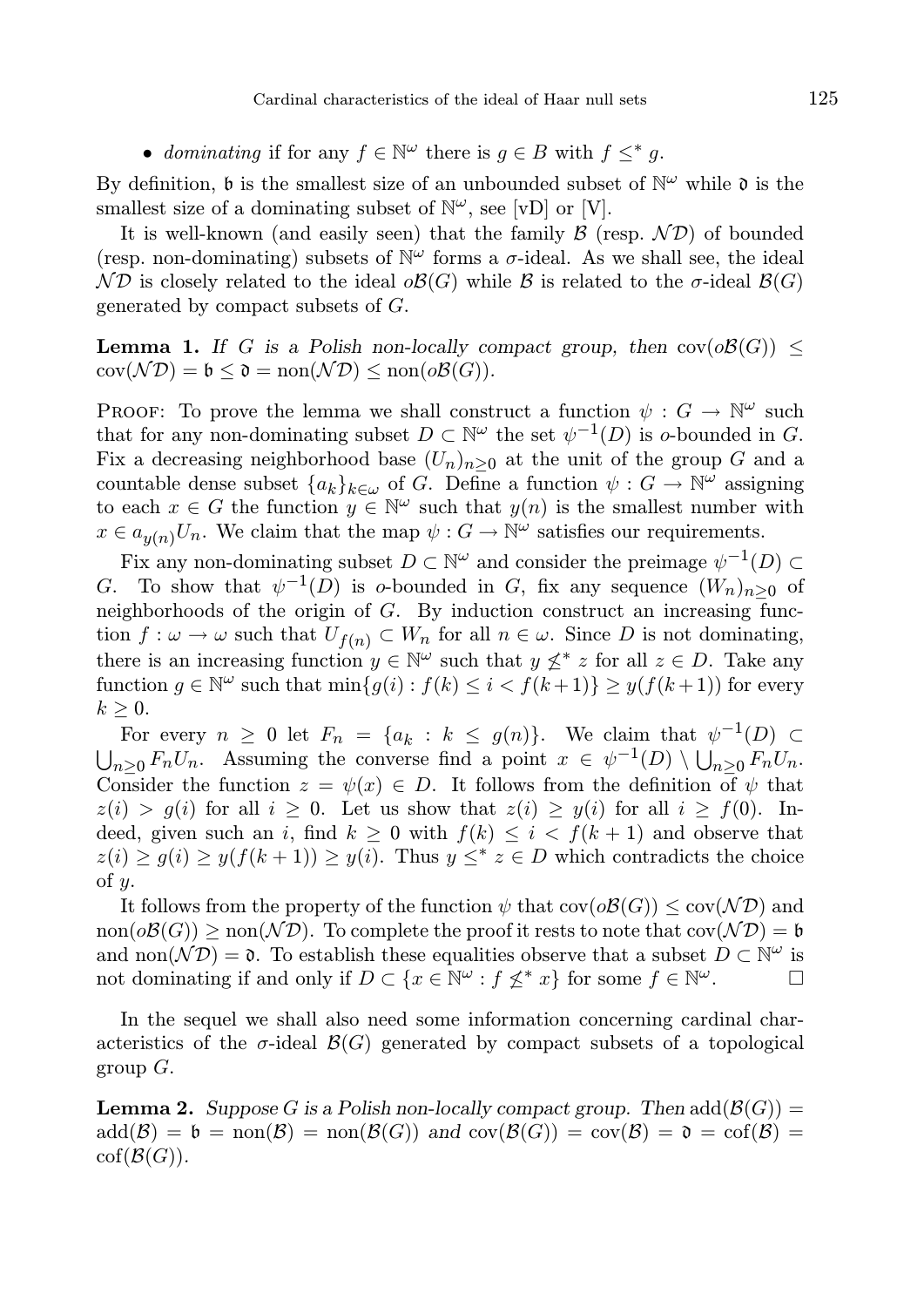• dominating if for any  $f \in \mathbb{N}^{\omega}$  there is  $g \in B$  with  $f \leq^* g$ .

By definition,  $\mathfrak b$  is the smallest size of an unbounded subset of  $\mathbb N^{\omega}$  while  $\mathfrak d$  is the smallest size of a dominating subset of  $\mathbb{N}^{\omega}$ , see [vD] or [V].

It is well-known (and easily seen) that the family  $\mathcal{B}$  (resp.  $\mathcal{ND}$ ) of bounded (resp. non-dominating) subsets of  $\mathbb{N}^{\omega}$  forms a  $\sigma$ -ideal. As we shall see, the ideal  $\mathcal{ND}$  is closely related to the ideal  $\mathcal{B}(G)$  while  $\mathcal{B}$  is related to the  $\sigma$ -ideal  $\mathcal{B}(G)$ generated by compact subsets of G.

**Lemma 1.** If G is a Polish non-locally compact group, then  $cov(\partial \mathcal{B}(G))$  <  $cov(\mathcal{N}\mathcal{D}) = \mathfrak{b} \leq \mathfrak{d} = \text{non}(\mathcal{N}\mathcal{D}) \leq \text{non}(o\mathcal{B}(G)).$ 

PROOF: To prove the lemma we shall construct a function  $\psi : G \to \mathbb{N}^{\omega}$  such that for any non-dominating subset  $D \subset \mathbb{N}^{\omega}$  the set  $\psi^{-1}(D)$  is o-bounded in G. Fix a decreasing neighborhood base  $(U_n)_{n>0}$  at the unit of the group G and a countable dense subset  $\{a_k\}_{k\in\omega}$  of G. Define a function  $\psi: G \to \mathbb{N}^{\omega}$  assigning to each  $x \in G$  the function  $y \in \mathbb{N}^{\omega}$  such that  $y(n)$  is the smallest number with  $x \in a_{y(n)}U_n$ . We claim that the map  $\psi: G \to \mathbb{N}^{\omega}$  satisfies our requirements.

Fix any non-dominating subset  $D \subset \mathbb{N}^{\omega}$  and consider the preimage  $\psi^{-1}(D) \subset$ G. To show that  $\psi^{-1}(D)$  is o-bounded in G, fix any sequence  $(W_n)_{n\geq 0}$  of neighborhoods of the origin of G. By induction construct an increasing function  $f: \omega \to \omega$  such that  $U_{f(n)} \subset W_n$  for all  $n \in \omega$ . Since D is not dominating, there is an increasing function  $y \in \mathbb{N}^{\omega}$  such that  $y \nleq^* z$  for all  $z \in D$ . Take any function  $g \in \mathbb{N}^{\omega}$  such that  $\min\{g(i) : f(k) \leq i < f(k+1)\} \geq y(f(k+1))$  for every  $k \geq 0$ .

For every  $n \geq 0$  let  $F_n = \{a_k : k \leq g(n)\}\$ . We claim that  $\psi^{-1}(D) \subset$  $\bigcup_{n\geq 0} F_n U_n$ . Assuming the converse find a point  $x \in \psi^{-1}(D) \setminus \bigcup_{n\geq 0} F_n U_n$ . Consider the function  $z = \psi(x) \in D$ . It follows from the definition of  $\psi$  that  $z(i) > g(i)$  for all  $i \geq 0$ . Let us show that  $z(i) \geq y(i)$  for all  $i \geq f(0)$ . Indeed, given such an i, find  $k \geq 0$  with  $f(k) \leq i \leq f(k+1)$  and observe that  $z(i) \ge g(i) \ge y(f(k+1)) \ge y(i)$ . Thus  $y \leq^* z \in D$  which contradicts the choice of  $y$ .

It follows from the property of the function  $\psi$  that  $\text{cov}(\mathcal{OB}(G)) \leq \text{cov}(\mathcal{ND})$  and  $\text{non}(o\mathcal{B}(G)) \geq \text{non}(\mathcal{ND})$ . To complete the proof it rests to note that  $\text{cov}(\mathcal{ND}) = \mathfrak{b}$ and non $(\mathcal{N}D) = \mathfrak{d}$ . To establish these equalities observe that a subset  $D \subset \mathbb{N}^{\omega}$  is not dominating if and only if  $D \subset \{x \in \mathbb{N}^{\omega} : f \nleq^* x\}$  for some  $f \in \mathbb{N}^{\omega}$ .

In the sequel we shall also need some information concerning cardinal characteristics of the  $\sigma$ -ideal  $\mathcal{B}(G)$  generated by compact subsets of a topological group  $G$ .

**Lemma 2.** Suppose G is a Polish non-locally compact group. Then  $add(\mathcal{B}(G)) =$  $\text{add}(\mathcal{B}) = \mathfrak{b} = \text{non}(\mathcal{B}) = \text{non}(\mathcal{B}(G))$  and  $\text{cov}(\mathcal{B}(G)) = \text{cov}(\mathcal{B}) = \mathfrak{d} = \text{cof}(\mathcal{B}) =$  $\mathrm{cof}(\mathcal{B}(G)).$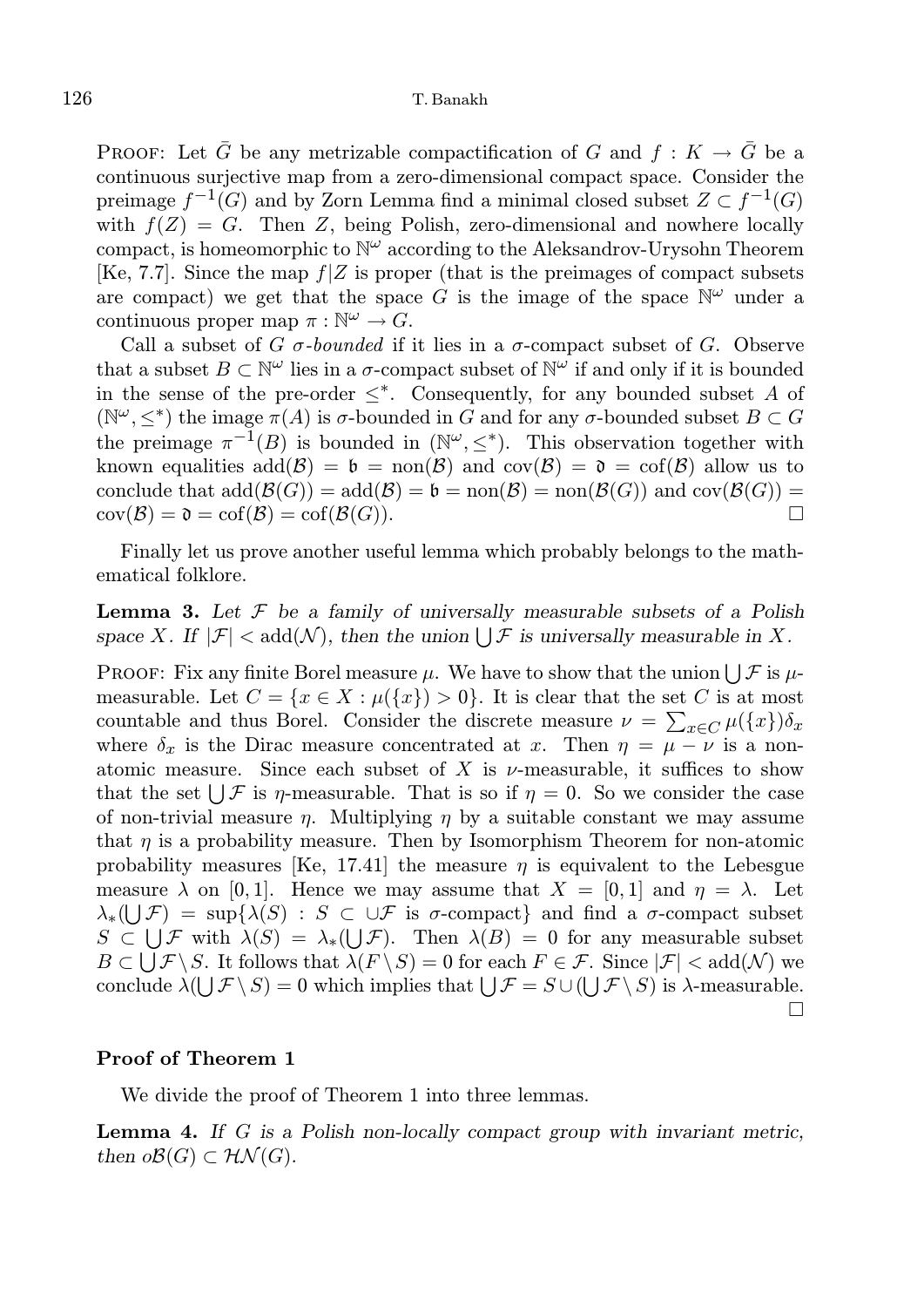PROOF: Let  $\bar{G}$  be any metrizable compactification of G and  $f: K \to \bar{G}$  be a continuous surjective map from a zero-dimensional compact space. Consider the preimage  $f^{-1}(G)$  and by Zorn Lemma find a minimal closed subset  $Z \subset f^{-1}(G)$ with  $f(Z) = G$ . Then Z, being Polish, zero-dimensional and nowhere locally compact, is homeomorphic to  $\mathbb{N}^{\omega}$  according to the Aleksandrov-Urysohn Theorem [Ke, 7.7]. Since the map  $f|Z$  is proper (that is the preimages of compact subsets are compact) we get that the space G is the image of the space  $\mathbb{N}^{\omega}$  under a continuous proper map  $\pi : \mathbb{N}^{\omega} \to G$ .

Call a subset of G  $\sigma$ -bounded if it lies in a  $\sigma$ -compact subset of G. Observe that a subset  $B \subset \mathbb{N}^{\omega}$  lies in a  $\sigma$ -compact subset of  $\mathbb{N}^{\omega}$  if and only if it is bounded in the sense of the pre-order  $\leq^*$ . Consequently, for any bounded subset A of ( $\mathbb{N}^{\omega}, \leq^*$ ) the image  $\pi(A)$  is  $\sigma$ -bounded in G and for any  $\sigma$ -bounded subset  $B \subset G$ the preimage  $\pi^{-1}(B)$  is bounded in  $(\mathbb{N}^{\omega}, \leq^*)$ . This observation together with known equalities  $add(\mathcal{B}) = \mathfrak{b} = \text{non}(\mathcal{B})$  and  $cov(\mathcal{B}) = \mathfrak{d} = cof(\mathcal{B})$  allow us to conclude that  $\text{add}(\mathcal{B}(G)) = \text{add}(\mathcal{B}) = \mathfrak{b} = \text{non}(\mathcal{B}) = \text{non}(\mathcal{B}(G))$  and  $\text{cov}(\mathcal{B}(G)) =$  $cov(\mathcal{B}) = \mathfrak{d} = cof(\mathcal{B}) = cof(\mathcal{B}(G)).$ 

Finally let us prove another useful lemma which probably belongs to the mathematical folklore.

**Lemma 3.** Let  $\mathcal F$  be a family of universally measurable subsets of a Polish space X. If  $|\mathcal{F}| < \text{add}(\mathcal{N})$ , then the union  $\bigcup \mathcal{F}$  is universally measurable in X.

PROOF: Fix any finite Borel measure  $\mu$ . We have to show that the union  $\bigcup \mathcal{F}$  is  $\mu$ measurable. Let  $C = \{x \in X : \mu(\{x\}) > 0\}$ . It is clear that the set C is at most countable and thus Borel. Consider the discrete measure  $\nu = \sum_{x \in C} \mu({x}) \delta_x$ where  $\delta_x$  is the Dirac measure concentrated at x. Then  $\eta = \mu - \nu$  is a nonatomic measure. Since each subset of X is  $\nu$ -measurable, it suffices to show that the set  $\bigcup \mathcal{F}$  is  $\eta$ -measurable. That is so if  $\eta = 0$ . So we consider the case of non-trivial measure  $\eta$ . Multiplying  $\eta$  by a suitable constant we may assume that  $\eta$  is a probability measure. Then by Isomorphism Theorem for non-atomic probability measures [Ke, 17.41] the measure  $\eta$  is equivalent to the Lebesgue measure  $\lambda$  on [0, 1]. Hence we may assume that  $X = [0, 1]$  and  $\eta = \lambda$ . Let  $\lambda_*(\bigcup \mathcal{F}) = \sup\{\lambda(S) : S \subset \cup \mathcal{F} \text{ is } \sigma\text{-compact}\}\$ and find a  $\sigma\text{-compact subset}$  $S \subset \bigcup \mathcal{F}$  with  $\lambda(S) = \lambda_*(\bigcup \mathcal{F})$ . Then  $\lambda(B) = 0$  for any measurable subset  $B \subset \bigcup \mathcal{F} \backslash S$ . It follows that  $\lambda(F \backslash S) = 0$  for each  $F \in \mathcal{F}$ . Since  $|\mathcal{F}| < \text{add}(\mathcal{N})$  we conclude  $\lambda(\bigcup \mathcal{F} \setminus S) = 0$  which implies that  $\bigcup \mathcal{F} = S \cup (\bigcup \mathcal{F} \setminus S)$  is  $\lambda$ -measurable.  $\Box$ 

#### Proof of Theorem 1

We divide the proof of Theorem 1 into three lemmas.

Lemma 4. If G is a Polish non-locally compact group with invariant metric, then  $o\mathcal{B}(G) \subset \mathcal{HN}(G)$ .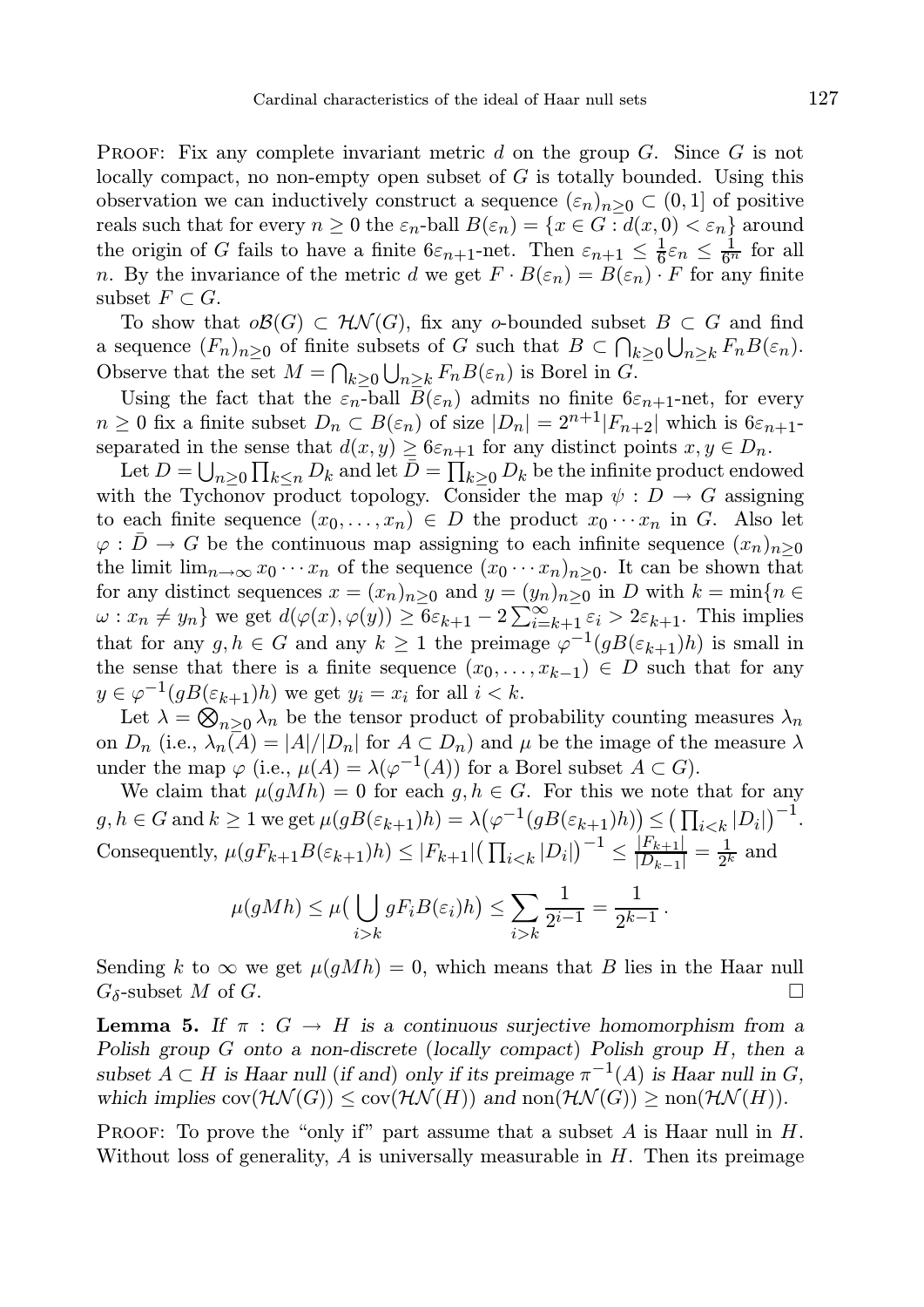**PROOF:** Fix any complete invariant metric d on the group  $G$ . Since  $G$  is not locally compact, no non-empty open subset of  $G$  is totally bounded. Using this observation we can inductively construct a sequence  $(\varepsilon_n)_{n>0} \subset (0,1]$  of positive reals such that for every  $n \geq 0$  the  $\varepsilon_n$ -ball  $B(\varepsilon_n) = \{x \in G : d(x, 0) < \varepsilon_n\}$  around the origin of G fails to have a finite  $6\varepsilon_{n+1}$ -net. Then  $\varepsilon_{n+1} \leq \frac{1}{6}\varepsilon_n \leq \frac{1}{6^n}$  for all n. By the invariance of the metric d we get  $F \cdot B(\varepsilon_n) = B(\varepsilon_n) \cdot F$  for any finite subset  $F \subset G$ .

To show that  $\partial \mathcal{B}(G) \subset \mathcal{HM}(G)$ , fix any o-bounded subset  $B \subset G$  and find a sequence  $(F_n)_{n\geq 0}$  of finite subsets of G such that  $B \subset \bigcap_{k\geq 0} \bigcup_{n\geq k} F_n B(\varepsilon_n)$ . Observe that the set  $M = \bigcap_{k \geq 0} \bigcup_{n \geq k} F_n B(\varepsilon_n)$  is Borel in G.

Using the fact that the  $\varepsilon_n$ -ball  $\bar{B}(\varepsilon_n)$  admits no finite  $6\varepsilon_{n+1}$ -net, for every  $n \geq 0$  fix a finite subset  $D_n \subset B(\varepsilon_n)$  of size  $|D_n| = 2^{n+1}|F_{n+2}|$  which is  $6\varepsilon_{n+1}$ separated in the sense that  $d(x, y) \geq 6\varepsilon_{n+1}$  for any distinct points  $x, y \in D_n$ .

Let  $D = \bigcup_{n \geq 0} \prod_{k \leq n} D_k$  and let  $\bar{D} = \prod_{k \geq 0} D_k$  be the infinite product endowed with the Tychonov product topology. Consider the map  $\psi : D \to G$  assigning to each finite sequence  $(x_0, \ldots, x_n) \in D$  the product  $x_0 \cdots x_n$  in G. Also let  $\varphi : \overline{D} \to G$  be the continuous map assigning to each infinite sequence  $(x_n)_{n>0}$ the limit  $\lim_{n\to\infty} x_0 \cdots x_n$  of the sequence  $(x_0 \cdots x_n)_{n>0}$ . It can be shown that for any distinct sequences  $x = (x_n)_{n>0}$  and  $y = (y_n)_{n>0}$  in D with  $k = \min\{n \in \mathbb{Z}^n : n \geq 0\}$  $\omega: x_n \neq y_n$  we get  $d(\varphi(x), \varphi(y)) \geq 6\varepsilon_{k+1} - 2\sum_{i=k+1}^{\infty} \varepsilon_i > 2\varepsilon_{k+1}$ . This implies that for any  $g, h \in G$  and any  $k \geq 1$  the preimage  $\varphi^{-1}(gB(\varepsilon_{k+1})h)$  is small in the sense that there is a finite sequence  $(x_0, \ldots, x_{k-1}) \in D$  such that for any  $y \in \varphi^{-1}(gB(\varepsilon_{k+1})h)$  we get  $y_i = x_i$  for all  $i < k$ .

Let  $\lambda = \bigotimes_{n \geq 0} \lambda_n$  be the tensor product of probability counting measures  $\lambda_n$ on  $D_n$  (i.e.,  $\lambda_n(\overline{A}) = |A|/|D_n|$  for  $A \subset D_n$ ) and  $\mu$  be the image of the measure  $\lambda$ under the map  $\varphi$  (i.e.,  $\mu(A) = \lambda(\varphi^{-1}(A))$  for a Borel subset  $A \subset G$ ).

We claim that  $\mu(gMh) = 0$  for each  $g, h \in G$ . For this we note that for any  $g, h \in G \text{ and } k \geq 1 \text{ we get } \mu(gB(\varepsilon_{k+1})h) = \lambda(\varphi^{-1}(gB(\varepsilon_{k+1})h)) \leq (\prod_{i \leq k} |D_i|)^{-1}.$ Consequently,  $\mu(gF_{k+1}B(\varepsilon_{k+1})h) \leq |F_{k+1}| \left(\prod_{i < k} |D_i|\right)^{-1} \leq \frac{|F_{k+1}|}{|D_{k-1}|}$  $\frac{|F_{k+1}|}{|D_{k-1}|} = \frac{1}{2^k}$  and

$$
\mu(gMh) \leq \mu\left(\bigcup_{i>k} gF_iB(\varepsilon_i)h\right) \leq \sum_{i>k} \frac{1}{2^{i-1}} = \frac{1}{2^{k-1}}.
$$

Sending k to  $\infty$  we get  $\mu(gMh) = 0$ , which means that B lies in the Haar null  $G_{\delta}$ -subset M of G.

**Lemma 5.** If  $\pi$  :  $G \to H$  is a continuous surjective homomorphism from a Polish group G onto a non-discrete (locally compact) Polish group H, then a subset  $A \subset H$  is Haar null (if and) only if its preimage  $\pi^{-1}(A)$  is Haar null in G, which implies  $cov(\mathcal{HN}(G)) \leq cov(\mathcal{HN}(H))$  and  $non(\mathcal{HN}(G)) \geq non(\mathcal{HN}(H)).$ 

PROOF: To prove the "only if" part assume that a subset  $A$  is Haar null in  $H$ . Without loss of generality,  $A$  is universally measurable in  $H$ . Then its preimage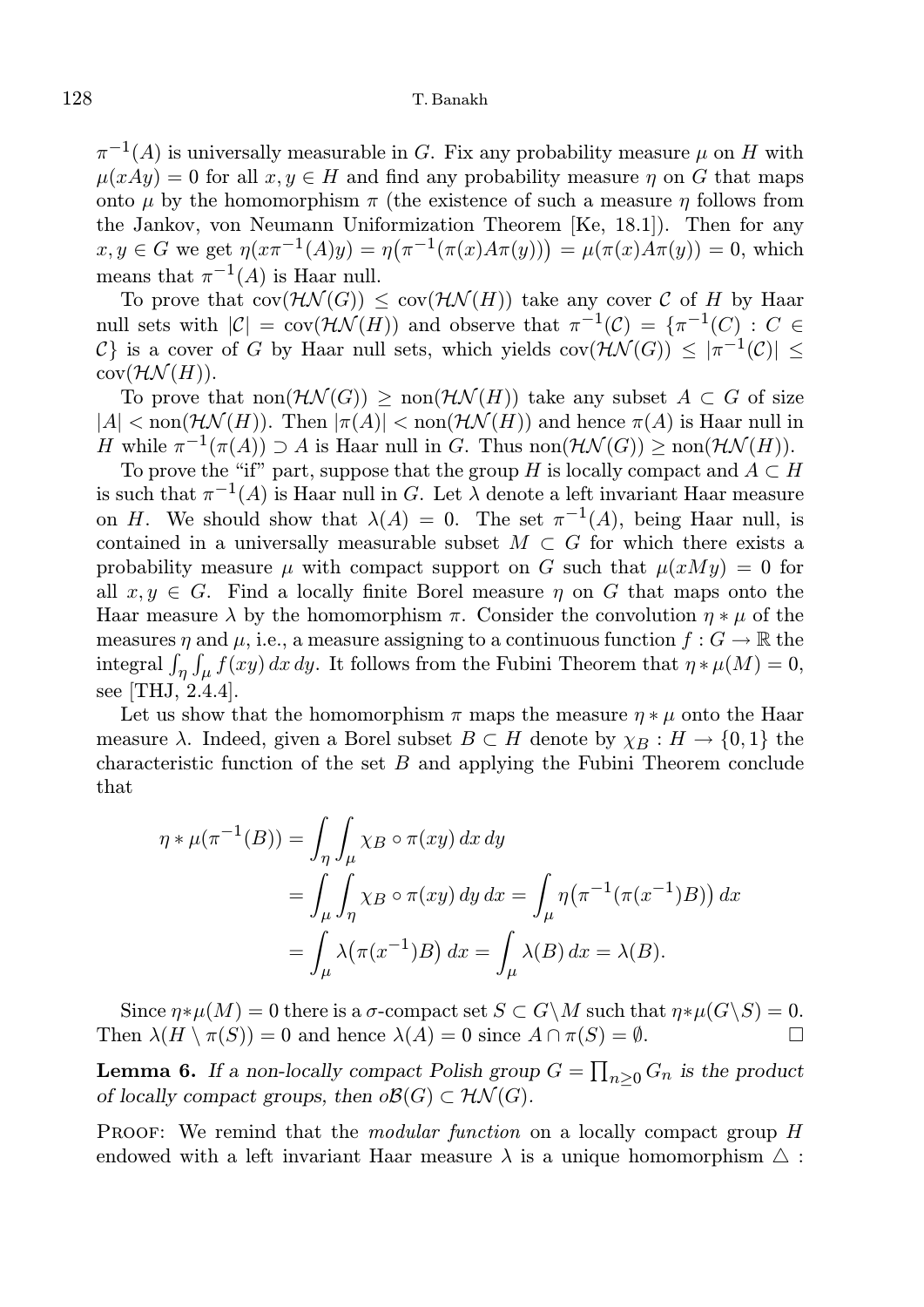$\pi^{-1}(A)$  is universally measurable in G. Fix any probability measure  $\mu$  on H with  $u(xAu) = 0$  for all  $x, y \in H$  and find any probability measure  $\eta$  on G that maps onto  $\mu$  by the homomorphism  $\pi$  (the existence of such a measure  $\eta$  follows from the Jankov, von Neumann Uniformization Theorem [Ke, 18.1]). Then for any  $x, y \in G$  we get  $\eta(x\pi^{-1}(A)y) = \eta(\pi^{-1}(\pi(x)A\pi(y))) = \mu(\pi(x)A\pi(y)) = 0$ , which means that  $\pi^{-1}(A)$  is Haar null.

To prove that  $cov(\mathcal{H}\mathcal{N}(G)) < cov(\mathcal{H}\mathcal{N}(H))$  take any cover C of H by Haar null sets with  $|\mathcal{C}| = \text{cov}(\mathcal{H}\mathcal{N}(H))$  and observe that  $\pi^{-1}(\mathcal{C}) = {\pi^{-1}(C) : C \in \mathcal{C}}$ C is a cover of G by Haar null sets, which yields  $cov(\mathcal{HN}(G)) \leq |\pi^{-1}(\mathcal{C})| \leq$  $cov(\mathcal{HN}(H)).$ 

To prove that  $\text{non}(\mathcal{H}\mathcal{N}(G))$  >  $\text{non}(\mathcal{H}\mathcal{N}(H))$  take any subset  $A \subset G$  of size  $|A| < \text{non}(\mathcal{HN}(H))$ . Then  $|\pi(A)| < \text{non}(\mathcal{HN}(H))$  and hence  $\pi(A)$  is Haar null in H while  $\pi^{-1}(\pi(A)) \supset A$  is Haar null in G. Thus non $(\mathcal{HN}(G)) \geq \text{non}(\mathcal{HN}(H)).$ 

To prove the "if" part, suppose that the group H is locally compact and  $A \subset H$ is such that  $\pi^{-1}(A)$  is Haar null in G. Let  $\lambda$  denote a left invariant Haar measure on H. We should show that  $\lambda(A) = 0$ . The set  $\pi^{-1}(A)$ , being Haar null, is contained in a universally measurable subset  $M \subset G$  for which there exists a probability measure  $\mu$  with compact support on G such that  $\mu(xMy) = 0$  for all  $x, y \in G$ . Find a locally finite Borel measure  $\eta$  on G that maps onto the Haar measure  $\lambda$  by the homomorphism  $\pi$ . Consider the convolution  $\eta * \mu$  of the measures  $\eta$  and  $\mu$ , i.e., a measure assigning to a continuous function  $f: G \to \mathbb{R}$  the integral  $\int_{\eta} \int_{\mu} f(xy) dx dy$ . It follows from the Fubini Theorem that  $\eta * \mu(M) = 0$ , see [THJ, 2.4.4].

Let us show that the homomorphism  $\pi$  maps the measure  $\eta * \mu$  onto the Haar measure  $\lambda$ . Indeed, given a Borel subset  $B \subset H$  denote by  $\chi_B : H \to \{0,1\}$  the characteristic function of the set  $B$  and applying the Fubini Theorem conclude that

$$
\eta * \mu(\pi^{-1}(B)) = \int_{\eta} \int_{\mu} \chi_B \circ \pi(xy) \, dx \, dy
$$
  
= 
$$
\int_{\mu} \int_{\eta} \chi_B \circ \pi(xy) \, dy \, dx = \int_{\mu} \eta(\pi^{-1}(\pi(x^{-1})B)) \, dx
$$
  
= 
$$
\int_{\mu} \lambda(\pi(x^{-1})B) \, dx = \int_{\mu} \lambda(B) \, dx = \lambda(B).
$$

Since  $\eta * \mu(M) = 0$  there is a  $\sigma$ -compact set  $S \subset G \backslash M$  such that  $\eta * \mu(G \backslash S) = 0$ . Then  $\lambda(H \setminus \pi(S)) = 0$  and hence  $\lambda(A) = 0$  since  $A \cap \pi(S) = \emptyset$ .

**Lemma 6.** If a non-locally compact Polish group  $G = \prod_{n \geq 0} G_n$  is the product of locally compact groups, then  $o\mathcal{B}(G) \subset \mathcal{HN}(G)$ .

PROOF: We remind that the *modular function* on a locally compact group H endowed with a left invariant Haar measure  $\lambda$  is a unique homomorphism  $\Delta$ :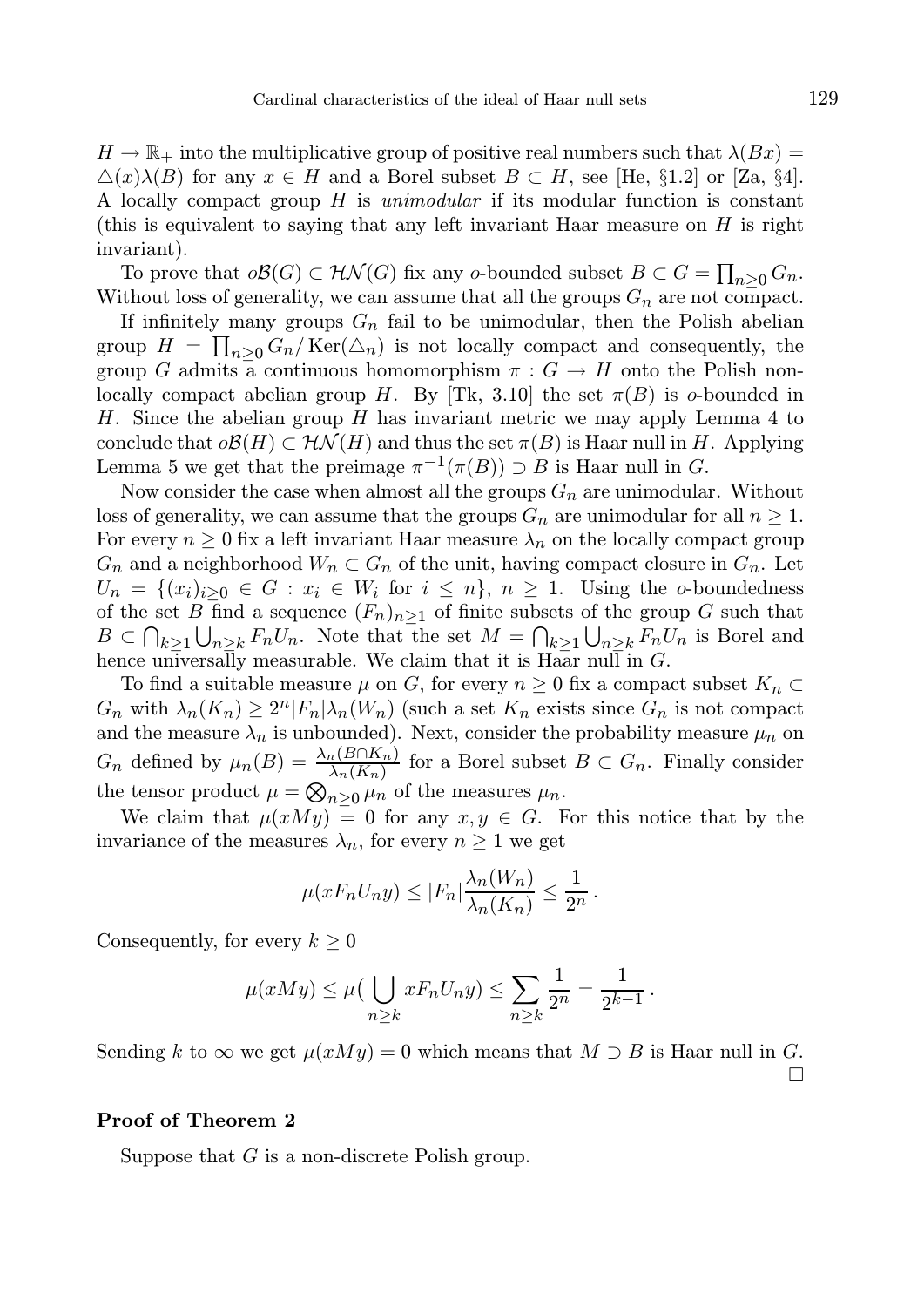$H \to \mathbb{R}_+$  into the multiplicative group of positive real numbers such that  $\lambda(Bx) =$  $\Delta(x)\lambda(B)$  for any  $x \in H$  and a Borel subset  $B \subset H$ , see [He, §1.2] or [Za, §4]. A locally compact group  $H$  is *unimodular* if its modular function is constant (this is equivalent to saying that any left invariant Haar measure on  $H$  is right invariant).

To prove that  $o\mathcal{B}(G) \subset \mathcal{HN}(G)$  fix any o-bounded subset  $B \subset G = \prod_{n \geq 0} G_n$ . Without loss of generality, we can assume that all the groups  $G_n$  are not compact.

If infinitely many groups  $G_n$  fail to be unimodular, then the Polish abelian group  $H = \prod_{n \geq 0} G_n / \text{Ker}(\triangle_n)$  is not locally compact and consequently, the group G admits a continuous homomorphism  $\pi : G \to H$  onto the Polish nonlocally compact abelian group H. By [Tk, 3.10] the set  $\pi(B)$  is o-bounded in H. Since the abelian group  $H$  has invariant metric we may apply Lemma 4 to conclude that  $o\mathcal{B}(H) \subset \mathcal{HN}(H)$  and thus the set  $\pi(B)$  is Haar null in H. Applying Lemma 5 we get that the preimage  $\pi^{-1}(\pi(B)) \supset B$  is Haar null in G.

Now consider the case when almost all the groups  $G_n$  are unimodular. Without loss of generality, we can assume that the groups  $G_n$  are unimodular for all  $n \geq 1$ . For every  $n \geq 0$  fix a left invariant Haar measure  $\lambda_n$  on the locally compact group  $G_n$  and a neighborhood  $W_n \subset G_n$  of the unit, having compact closure in  $G_n$ . Let  $U_n = \{(x_i)_{i \geq 0} \in G : x_i \in W_i \text{ for } i \leq n\}, n \geq 1.$  Using the o-boundedness of the set B find a sequence  $(F_n)_{n>1}$  of finite subsets of the group G such that  $B \subset \bigcap_{k \geq 1} \bigcup_{n \geq k} F_n U_n$ . Note that the set  $M = \bigcap_{k \geq 1} \bigcup_{n \geq k} F_n U_n$  is Borel and hence universally measurable. We claim that it is Haar null in G.

To find a suitable measure  $\mu$  on G, for every  $n \geq 0$  fix a compact subset  $K_n \subset$  $G_n$  with  $\lambda_n(K_n) \geq 2^n |F_n| \lambda_n(W_n)$  (such a set  $K_n$  exists since  $G_n$  is not compact and the measure  $\lambda_n$  is unbounded). Next, consider the probability measure  $\mu_n$  on  $G_n$  defined by  $\mu_n(B) = \frac{\lambda_n(B \cap K_n)}{\lambda_n(K_n)}$  for a Borel subset  $B \subset G_n$ . Finally consider the tensor product  $\mu = \bigotimes_{n \geq 0} \mu_n$  of the measures  $\mu_n$ .

We claim that  $\mu(xMy) = 0$  for any  $x, y \in G$ . For this notice that by the invariance of the measures  $\lambda_n$ , for every  $n \geq 1$  we get

$$
\mu(xF_nU_ny) \le |F_n|\frac{\lambda_n(W_n)}{\lambda_n(K_n)} \le \frac{1}{2^n}.
$$

Consequently, for every  $k \geq 0$ 

$$
\mu(xMy) \leq \mu\left(\bigcup_{n\geq k} xF_nU_ny\right) \leq \sum_{n\geq k} \frac{1}{2^n} = \frac{1}{2^{k-1}}.
$$

Sending k to  $\infty$  we get  $\mu(xMy) = 0$  which means that  $M \supset B$  is Haar null in G.  $\Box$ 

### Proof of Theorem 2

Suppose that  $G$  is a non-discrete Polish group.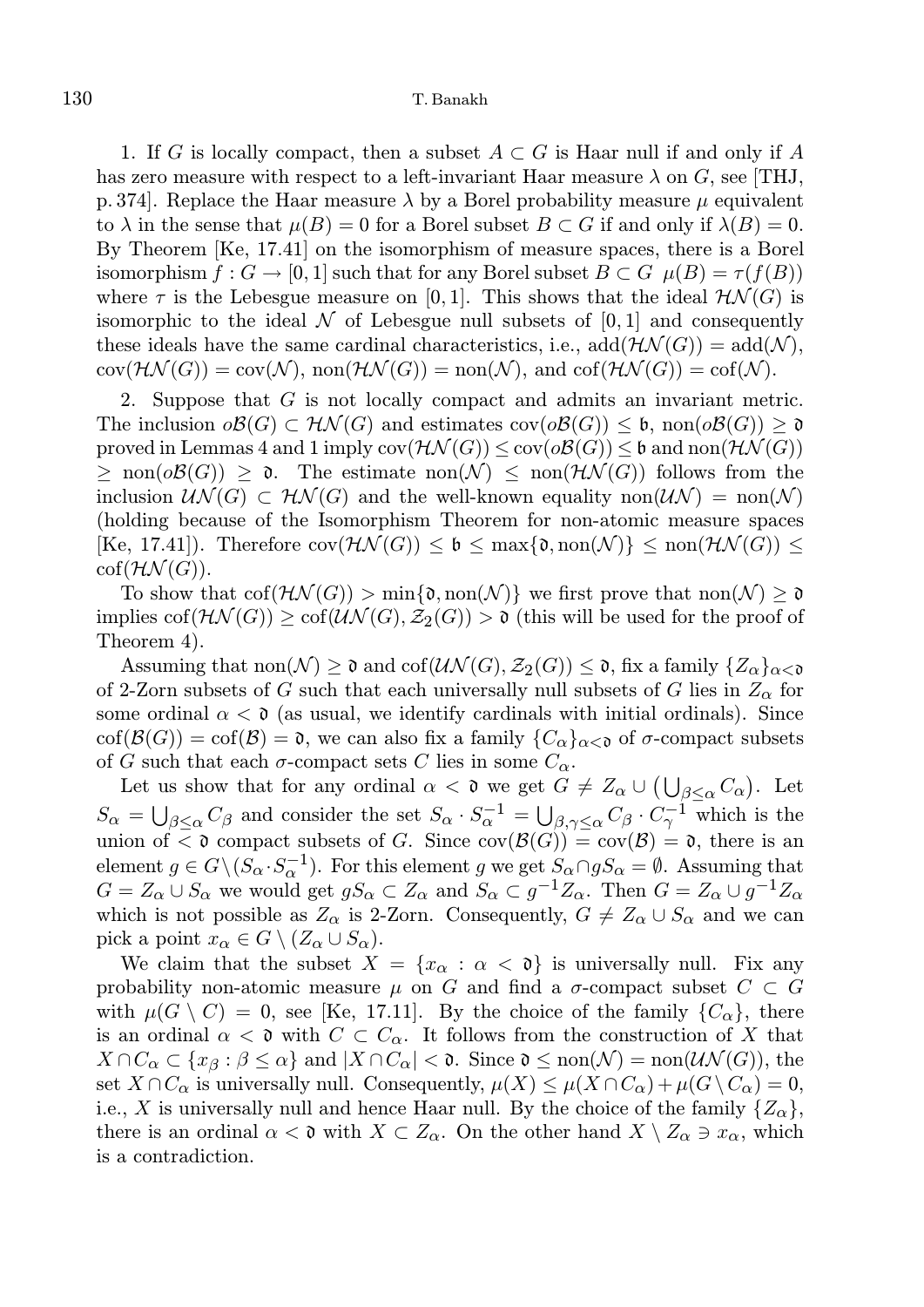1. If G is locally compact, then a subset  $A \subset G$  is Haar null if and only if A has zero measure with respect to a left-invariant Haar measure  $\lambda$  on G, see [THJ, p. 374. Replace the Haar measure  $\lambda$  by a Borel probability measure  $\mu$  equivalent to  $\lambda$  in the sense that  $\mu(B) = 0$  for a Borel subset  $B \subset G$  if and only if  $\lambda(B) = 0$ . By Theorem [Ke, 17.41] on the isomorphism of measure spaces, there is a Borel isomorphism  $f: G \to [0, 1]$  such that for any Borel subset  $B \subset G$   $\mu(B) = \tau(f(B))$ where  $\tau$  is the Lebesgue measure on [0, 1]. This shows that the ideal  $\mathcal{H}\mathcal{N}(G)$  is isomorphic to the ideal  $\mathcal N$  of Lebesgue null subsets of [0, 1] and consequently these ideals have the same cardinal characteristics, i.e.,  $add(\mathcal{HN}(G)) = add(\mathcal{N}),$  $cov(\mathcal{HN}(G)) = cov(\mathcal{N}), \, \text{non}(\mathcal{HN}(G)) = \text{non}(\mathcal{N}), \, \text{and} \, \text{cof}(\mathcal{HN}(G)) = \text{cof}(\mathcal{N}).$ 

2. Suppose that G is not locally compact and admits an invariant metric. The inclusion  $\partial \mathcal{B}(G) \subset \mathcal{HN}(G)$  and estimates  $cov(\partial \mathcal{B}(G)) \leq \mathfrak{b}$ , non $(\partial \mathcal{B}(G)) \geq \mathfrak{d}$ proved in Lemmas 4 and 1 imply  $cov(\mathcal{HM}(G)) \leq cov(\mathcal{O}(\mathcal{B}(G))) \leq \mathfrak{b}$  and  $non(\mathcal{HN}(G))$  $\geq \text{non}(\partial \mathcal{B}(G)) \geq \mathfrak{d}$ . The estimate  $\text{non}(\mathcal{N}) \leq \text{non}(\mathcal{H}\mathcal{N}(G))$  follows from the inclusion  $\mathcal{UN}(G) \subset \mathcal{HN}(G)$  and the well-known equality non $(\mathcal{UN}) = \text{non}(\mathcal{N})$ (holding because of the Isomorphism Theorem for non-atomic measure spaces  $[\text{Ke}, 17.41]$ . Therefore  $\text{cov}(\mathcal{HN}(G)) \leq \mathfrak{b} \leq \max\{\mathfrak{d}, \text{non}(\mathcal{N})\} \leq \text{non}(\mathcal{HN}(G)) \leq$  $cof(\mathcal{HN}(G)).$ 

To show that  $\text{cof}(\mathcal{H}\mathcal{N}(G)) > \min\{\mathfrak{d},\text{non}(\mathcal{N})\}\$ we first prove that  $\text{non}(\mathcal{N}) \geq \mathfrak{d}$ implies  $\text{cof}(\mathcal{H}\mathcal{N}(G)) \geq \text{cof}(\mathcal{U}\mathcal{N}(G), \mathcal{Z}_2(G)) > \mathfrak{d}$  (this will be used for the proof of Theorem 4).

Assuming that non $(\mathcal{N}) \geq \mathfrak{d}$  and cof $(\mathcal{UN}(G), \mathcal{Z}_2(G)) \leq \mathfrak{d}$ , fix a family  $\{Z_\alpha\}_{\alpha < \mathfrak{d}}$ of 2-Zorn subsets of G such that each universally null subsets of G lies in  $Z_{\alpha}$  for some ordinal  $\alpha < \mathfrak{d}$  (as usual, we identify cardinals with initial ordinals). Since  $\text{cof}(\mathcal{B}(G)) = \text{cof}(\mathcal{B}) = \mathfrak{d}$ , we can also fix a family  $\{C_{\alpha}\}_{{\alpha}<\mathfrak{d}}$  of  $\sigma$ -compact subsets of G such that each  $\sigma$ -compact sets C lies in some  $C_{\alpha}$ .

Let us show that for any ordinal  $\alpha < \mathfrak{d}$  we get  $G \neq Z_{\alpha} \cup (\bigcup_{\beta \leq \alpha} C_{\alpha})$ . Let  $S_{\alpha} = \bigcup_{\beta \leq \alpha} C_{\beta}$  and consider the set  $S_{\alpha} \cdot S_{\alpha}^{-1} = \bigcup_{\beta, \gamma \leq \alpha} C_{\beta} \cdot C_{\gamma}^{-1}$  which is the union of  $\lt \mathfrak{d}$  compact subsets of G. Since  $cov(\mathcal{B}(G)) = cov(\mathcal{B}) = \mathfrak{d}$ , there is an element  $g \in G \backslash (S_\alpha \cdot S_\alpha^{-1})$ . For this element g we get  $S_\alpha \cap gS_\alpha = \emptyset$ . Assuming that  $G = Z_{\alpha} \cup S_{\alpha}$  we would get  $gS_{\alpha} \subset Z_{\alpha}$  and  $S_{\alpha} \subset g^{-1}Z_{\alpha}$ . Then  $G = Z_{\alpha} \cup g^{-1}Z_{\alpha}$ which is not possible as  $Z_{\alpha}$  is 2-Zorn. Consequently,  $G \neq Z_{\alpha} \cup S_{\alpha}$  and we can pick a point  $x_{\alpha} \in G \setminus (Z_{\alpha} \cup S_{\alpha}).$ 

We claim that the subset  $X = \{x_{\alpha} : \alpha < \mathfrak{d}\}\$ is universally null. Fix any probability non-atomic measure  $\mu$  on G and find a  $\sigma$ -compact subset  $C \subset G$ with  $\mu(G \setminus C) = 0$ , see [Ke, 17.11]. By the choice of the family  $\{C_{\alpha}\}\)$ , there is an ordinal  $\alpha < \mathfrak{d}$  with  $C \subset C_{\alpha}$ . It follows from the construction of X that  $X \cap C_\alpha \subset \{x_\beta : \beta \leq \alpha\}$  and  $|X \cap C_\alpha| < \mathfrak{d}$ . Since  $\mathfrak{d} \leq \text{non}(\mathcal{N}) = \text{non}(\mathcal{U}\mathcal{N}(G))$ , the set  $X \cap C_\alpha$  is universally null. Consequently,  $\mu(X) \leq \mu(X \cap C_\alpha) + \mu(G \setminus C_\alpha) = 0$ , i.e., X is universally null and hence Haar null. By the choice of the family  $\{Z_{\alpha}\}\,$ there is an ordinal  $\alpha < \mathfrak{d}$  with  $X \subset Z_{\alpha}$ . On the other hand  $X \setminus Z_{\alpha} \ni x_{\alpha}$ , which is a contradiction.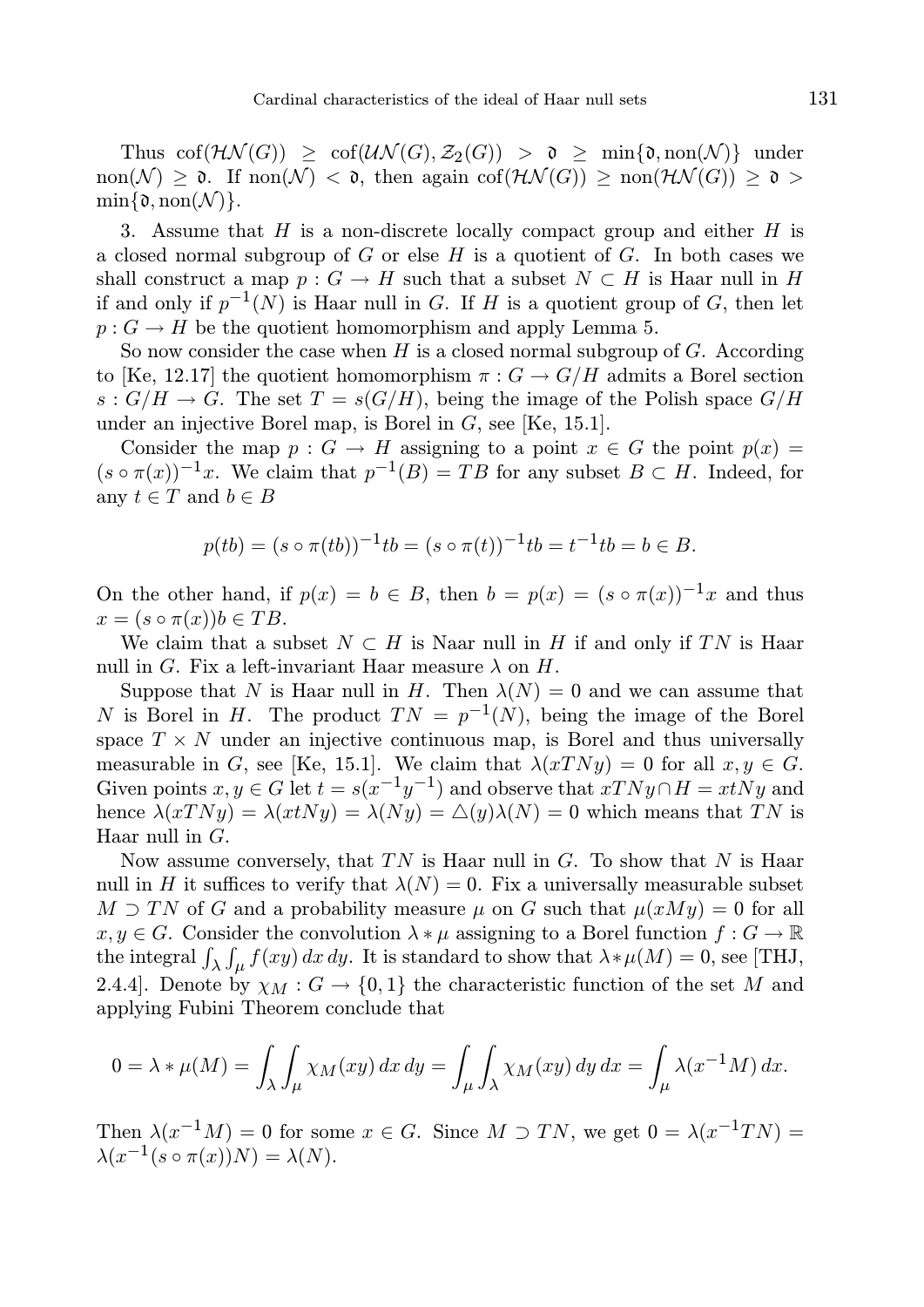Thus  $\text{cof}(\mathcal{H}\mathcal{N}(G)) > \text{cof}(\mathcal{U}\mathcal{N}(G), \mathcal{Z}_2(G)) > \mathfrak{d} > \min\{\mathfrak{d}, \text{non}(\mathcal{N})\}\$ under non(N) >  $\mathfrak{d}$ . If non(N) <  $\mathfrak{d}$ , then again cof(HN(G)) > non(HN(G)) >  $\mathfrak{d}$  >  $\min\{\mathfrak{d}, \text{non}(\mathcal{N})\}.$ 

3. Assume that  $H$  is a non-discrete locally compact group and either  $H$  is a closed normal subgroup of G or else H is a quotient of G. In both cases we shall construct a map  $p: G \to H$  such that a subset  $N \subset H$  is Haar null in H if and only if  $p^{-1}(N)$  is Haar null in G. If H is a quotient group of G, then let  $p: G \to H$  be the quotient homomorphism and apply Lemma 5.

So now consider the case when  $H$  is a closed normal subgroup of  $G$ . According to [Ke, 12.17] the quotient homomorphism  $\pi : G \to G/H$  admits a Borel section  $s: G/H \to G$ . The set  $T = s(G/H)$ , being the image of the Polish space  $G/H$ under an injective Borel map, is Borel in  $G$ , see [Ke, 15.1].

Consider the map  $p : G \to H$  assigning to a point  $x \in G$  the point  $p(x) =$  $(s \circ \pi(x))^{-1}x$ . We claim that  $p^{-1}(B) = TB$  for any subset  $B \subset H$ . Indeed, for any  $t \in T$  and  $b \in B$ 

$$
p(tb) = (s \circ \pi(tb))^{-1}tb = (s \circ \pi(t))^{-1}tb = t^{-1}tb = b \in B.
$$

On the other hand, if  $p(x) = b \in B$ , then  $b = p(x) = (s \circ \pi(x))^{-1}x$  and thus  $x = (s \circ \pi(x))b \in TB$ .

We claim that a subset  $N \subset H$  is Naar null in H if and only if TN is Haar null in G. Fix a left-invariant Haar measure  $\lambda$  on H.

Suppose that N is Haar null in H. Then  $\lambda(N) = 0$  and we can assume that N is Borel in H. The product  $TN = p^{-1}(N)$ , being the image of the Borel space  $T \times N$  under an injective continuous map, is Borel and thus universally measurable in G, see [Ke, 15.1]. We claim that  $\lambda(xTNy) = 0$  for all  $x, y \in G$ . Given points  $x, y \in G$  let  $t = s(x^{-1}y^{-1})$  and observe that  $xTNy \cap H = xtNy$  and hence  $\lambda(xTNy) = \lambda(xtNy) = \lambda(Ny) = \Delta(y)\lambda(N) = 0$  which means that TN is Haar null in G.

Now assume conversely, that  $TN$  is Haar null in G. To show that N is Haar null in H it suffices to verify that  $\lambda(N) = 0$ . Fix a universally measurable subset  $M \supset TN$  of G and a probability measure  $\mu$  on G such that  $\mu(xMy) = 0$  for all  $x, y \in G$ . Consider the convolution  $\lambda * \mu$  assigning to a Borel function  $f: G \to \mathbb{R}$ the integral  $\int_{\lambda} \int_{\mu} f(xy) dx dy$ . It is standard to show that  $\lambda * \mu(M) = 0$ , see [THJ, 2.4.4]. Denote by  $\chi_M : G \to \{0,1\}$  the characteristic function of the set M and applying Fubini Theorem conclude that

$$
0 = \lambda * \mu(M) = \int_{\lambda} \int_{\mu} \chi_M(xy) \, dx \, dy = \int_{\mu} \int_{\lambda} \chi_M(xy) \, dy \, dx = \int_{\mu} \lambda(x^{-1}M) \, dx.
$$

Then  $\lambda(x^{-1}M) = 0$  for some  $x \in G$ . Since  $M \supset TN$ , we get  $0 = \lambda(x^{-1}TN) =$  $\lambda(x^{-1}(s \circ \pi(x))N) = \lambda(N).$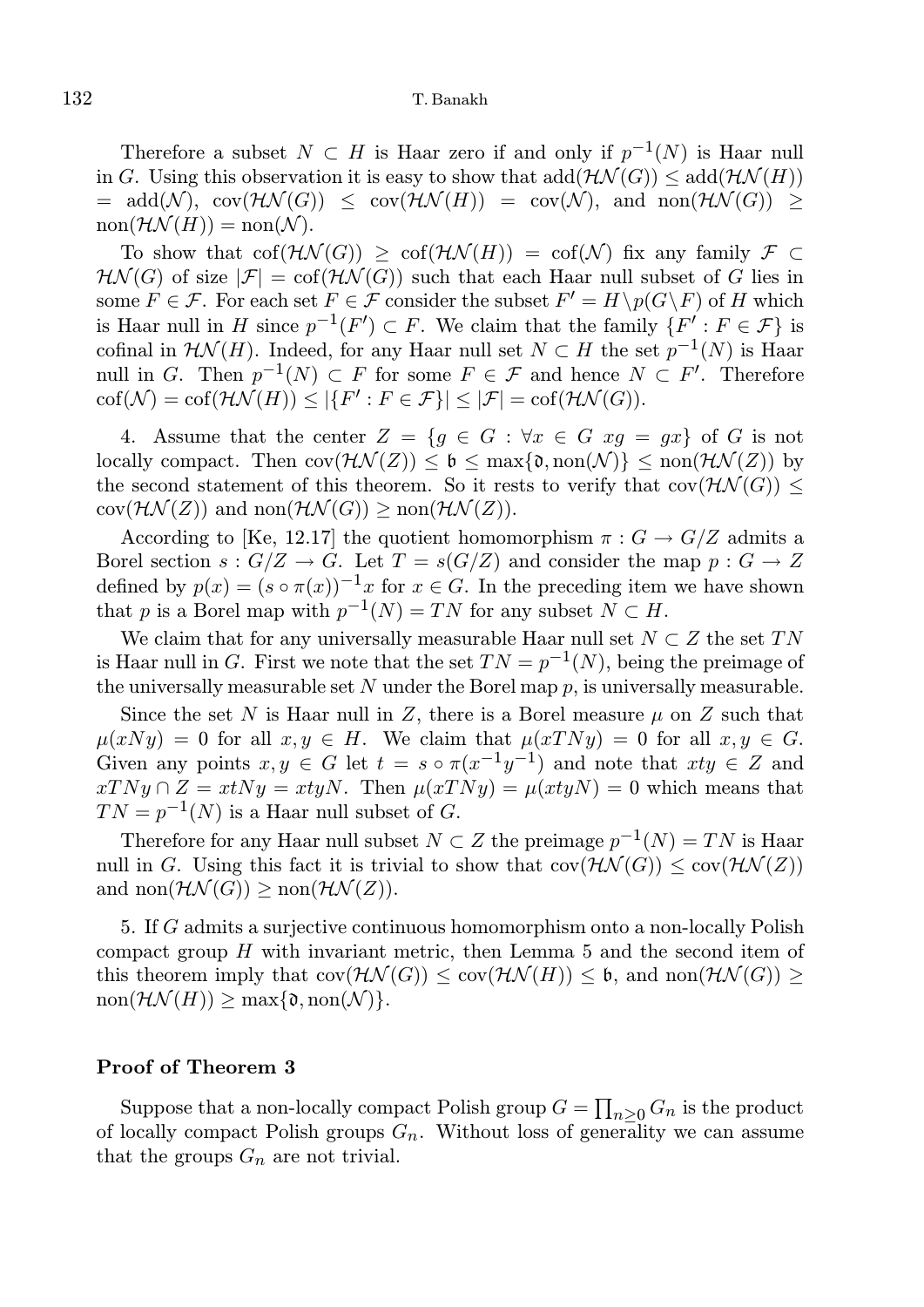Therefore a subset  $N \subset H$  is Haar zero if and only if  $p^{-1}(N)$  is Haar null in G. Using this observation it is easy to show that  $add(\mathcal{H}\mathcal{N}(G)) \leq add(\mathcal{H}\mathcal{N}(H))$  $= \text{add}(\mathcal{N}), \text{ cov}(\mathcal{HN}(G)) \leq \text{ cov}(\mathcal{HN}(H)) = \text{cov}(\mathcal{N}), \text{ and } \text{non}(\mathcal{HN}(G)) \geq$  $non(\mathcal{HN}(H)) = non(\mathcal{N}).$ 

To show that  $\text{cof}(\mathcal{H}\mathcal{N}(G)) > \text{cof}(\mathcal{H}\mathcal{N}(H)) = \text{cof}(\mathcal{N})$  fix any family  $\mathcal{F} \subset$  $H\mathcal{N}(G)$  of size  $|\mathcal{F}| = \text{cof}(\mathcal{H}\mathcal{N}(G))$  such that each Haar null subset of G lies in some  $F \in \mathcal{F}$ . For each set  $F \in \mathcal{F}$  consider the subset  $F' = H \setminus p(G \setminus F)$  of H which is Haar null in H since  $p^{-1}(F') \subset F$ . We claim that the family  $\{F' : F \in \mathcal{F}\}\$ is cofinal in  $\mathcal{HN}(H)$ . Indeed, for any Haar null set  $N \subset H$  the set  $p^{-1}(N)$  is Haar null in G. Then  $p^{-1}(N) \subset F$  for some  $F \in \mathcal{F}$  and hence  $N \subset F'$ . Therefore  $\text{cof}(\mathcal{N}) = \text{cof}(\mathcal{HN}(H)) \leq |\{F': F \in \mathcal{F}\}| \leq |\mathcal{F}| = \text{cof}(\mathcal{HN}(G)).$ 

4. Assume that the center  $Z = \{g \in G : \forall x \in G \ xg = gx\}$  of G is not locally compact. Then  $\text{cov}(\mathcal{HN}(Z)) \leq \mathfrak{b} \leq \max\{\mathfrak{d},\text{non}(\mathcal{N})\} \leq \text{non}(\mathcal{HN}(Z))$  by the second statement of this theorem. So it rests to verify that  $cov(\mathcal{HN}(G)) \leq$  $cov(\mathcal{HN}(Z))$  and  $non(\mathcal{HN}(G)) \geq non(\mathcal{HN}(Z)).$ 

According to [Ke, 12.17] the quotient homomorphism  $\pi: G \to G/Z$  admits a Borel section  $s: G/Z \to G$ . Let  $T = s(G/Z)$  and consider the map  $p: G \to Z$ defined by  $p(x) = (s \circ \pi(x))^{-1} x$  for  $x \in G$ . In the preceding item we have shown that p is a Borel map with  $p^{-1}(N) = TN$  for any subset  $N \subset H$ .

We claim that for any universally measurable Haar null set  $N \subset Z$  the set TN is Haar null in G. First we note that the set  $TN = p^{-1}(N)$ , being the preimage of the universally measurable set  $N$  under the Borel map  $p$ , is universally measurable.

Since the set N is Haar null in Z, there is a Borel measure  $\mu$  on Z such that  $\mu(xNy) = 0$  for all  $x, y \in H$ . We claim that  $\mu(xTNy) = 0$  for all  $x, y \in G$ . Given any points  $x, y \in G$  let  $t = s \circ \pi(x^{-1}y^{-1})$  and note that  $xty \in Z$  and  $xTNy \cap Z = xtNy = xtyN$ . Then  $\mu(xTNy) = \mu(xtyN) = 0$  which means that  $TN = p^{-1}(N)$  is a Haar null subset of G.

Therefore for any Haar null subset  $N \subset Z$  the preimage  $p^{-1}(N) = TN$  is Haar null in G. Using this fact it is trivial to show that  $cov(\mathcal{HM}(G)) \leq cov(\mathcal{HN}(Z))$ and  $\text{non}(\mathcal{HN}(G)) \geq \text{non}(\mathcal{HN}(Z)).$ 

5. If G admits a surjective continuous homomorphism onto a non-locally Polish compact group  $H$  with invariant metric, then Lemma 5 and the second item of this theorem imply that  $cov(\mathcal{HN}(G)) \leq cov(\mathcal{HN}(H)) \leq \mathfrak{b}$ , and  $non(\mathcal{HN}(G)) \geq$  $\text{non}(\mathcal{HN}(H)) \geq \text{max}\{\mathfrak{d}, \text{non}(\mathcal{N})\}.$ 

## Proof of Theorem 3

Suppose that a non-locally compact Polish group  $G = \prod_{n \geq 0} G_n$  is the product of locally compact Polish groups  $G_n$ . Without loss of generality we can assume that the groups  $G_n$  are not trivial.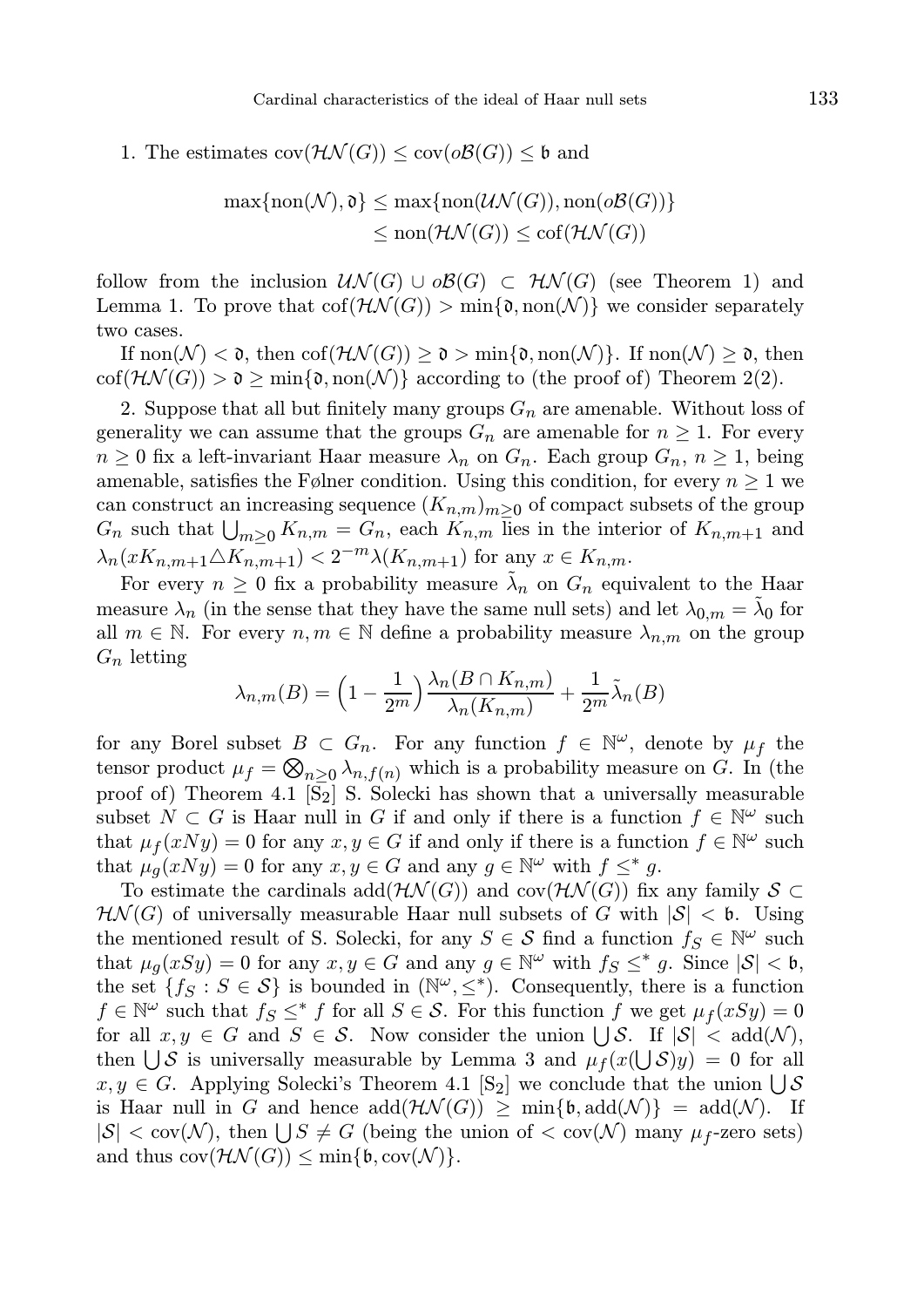1. The estimates  $cov(\mathcal{HN}(G)) \leq cov(o\mathcal{B}(G)) \leq \mathfrak{b}$  and

$$
\max\{\text{non}(\mathcal{N}), \mathfrak{d}\} \le \max\{\text{non}(\mathcal{UN}(G)), \text{non}(\mathfrak{d}\mathcal{B}(G))\}
$$

$$
\le \text{non}(\mathcal{HN}(G)) \le \text{cof}(\mathcal{HN}(G))
$$

follow from the inclusion  $\mathcal{UN}(G) \cup \mathcal{OB}(G) \subset \mathcal{HN}(G)$  (see Theorem 1) and Lemma 1. To prove that  $co(f(\mathcal{H}\mathcal{N}(G))) > min\{0, non(\mathcal{N})\}$  we consider separately two cases.

If  $\text{non}(\mathcal{N}) < \mathfrak{d}$ , then  $\text{cof}(\mathcal{H}\mathcal{N}(G)) \geq \mathfrak{d} > \min\{\mathfrak{d},\text{non}(\mathcal{N})\}\$ . If  $\text{non}(\mathcal{N}) \geq \mathfrak{d}$ , then  $\text{cof}(\mathcal{HN}(G)) > \mathfrak{d} \ge \min\{\mathfrak{d},\text{non}(\mathcal{N})\}\text{ according to (the proof of) Theorem 2(2).}$ 

2. Suppose that all but finitely many groups  $G_n$  are amenable. Without loss of generality we can assume that the groups  $G_n$  are amenable for  $n \geq 1$ . For every  $n \geq 0$  fix a left-invariant Haar measure  $\lambda_n$  on  $G_n$ . Each group  $G_n$ ,  $n \geq 1$ , being amenable, satisfies the Følner condition. Using this condition, for every  $n \geq 1$  we can construct an increasing sequence  $(K_{n,m})_{m>0}$  of compact subsets of the group  $G_n$  such that  $\bigcup_{m\geq 0} K_{n,m} = G_n$ , each  $K_{n,m}$  lies in the interior of  $K_{n,m+1}$  and  $\lambda_n(xK_{n,m+1}\triangle K_{n,m+1}) < 2^{-m}\lambda(K_{n,m+1})$  for any  $x \in K_{n,m}$ .

For every  $n \geq 0$  fix a probability measure  $\tilde{\lambda}_n$  on  $G_n$  equivalent to the Haar measure  $\lambda_n$  (in the sense that they have the same null sets) and let  $\lambda_{0,m} = \tilde{\lambda}_0$  for all  $m \in \mathbb{N}$ . For every  $n, m \in \mathbb{N}$  define a probability measure  $\lambda_{n,m}$  on the group  $G_n$  letting

$$
\lambda_{n,m}(B) = \left(1 - \frac{1}{2^m}\right) \frac{\lambda_n(B \cap K_{n,m})}{\lambda_n(K_{n,m})} + \frac{1}{2^m} \tilde{\lambda}_n(B)
$$

for any Borel subset  $B \subset G_n$ . For any function  $f \in \mathbb{N}^{\omega}$ , denote by  $\mu_f$  the tensor product  $\mu_f = \bigotimes_{n \geq 0} \lambda_{n,f(n)}$  which is a probability measure on G. In (the proof of) Theorem 4.1  $\left[\overline{S}_2\right]$  S. Solecki has shown that a universally measurable subset  $N \subset G$  is Haar null in G if and only if there is a function  $f \in \mathbb{N}^{\omega}$  such that  $\mu_f(xNy) = 0$  for any  $x, y \in G$  if and only if there is a function  $f \in \mathbb{N}^{\omega}$  such that  $\mu_g(xNy) = 0$  for any  $x, y \in G$  and any  $g \in \mathbb{N}^{\omega}$  with  $f \leq^* g$ .

To estimate the cardinals add( $\mathcal{H}\mathcal{N}(G)$ ) and cov( $\mathcal{H}\mathcal{N}(G)$ ) fix any family  $\mathcal{S} \subset$  $H\mathcal{N}(G)$  of universally measurable Haar null subsets of G with  $|\mathcal{S}| < 6$ . Using the mentioned result of S. Solecki, for any  $S \in \mathcal{S}$  find a function  $f_S \in \mathbb{N}^{\omega}$  such that  $\mu_g(xSy) = 0$  for any  $x, y \in G$  and any  $g \in \mathbb{N}^{\omega}$  with  $f_S \leq^* g$ . Since  $|S| < \mathfrak{b}$ , the set  $\{f_S : S \in \mathcal{S}\}\$ is bounded in  $(\mathbb{N}^{\omega}, \leq^*)$ . Consequently, there is a function  $f \in \mathbb{N}^{\omega}$  such that  $f_S \leq^* f$  for all  $S \in \mathcal{S}$ . For this function f we get  $\mu_f(xSy) = 0$ for all  $x, y \in G$  and  $S \in \mathcal{S}$ . Now consider the union  $\bigcup \mathcal{S}$ . If  $|\mathcal{S}| < \text{add}(\mathcal{N})$ , then  $\bigcup \mathcal{S}$  is universally measurable by Lemma 3 and  $\mu_f(x(\bigcup \mathcal{S})y) = 0$  for all  $x, y \in G$ . Applying Solecki's Theorem 4.1 [S<sub>2</sub>] we conclude that the union  $\bigcup \mathcal{S}$ is Haar null in G and hence  $\text{add}(\mathcal{H}\mathcal{N}(G)) \geq \min\{\mathfrak{b}, \text{add}(\mathcal{N})\} = \text{add}(\mathcal{N}).$  If  $|S| < \text{cov}(\mathcal{N})$ , then  $\bigcup S \neq G$  (being the union of  $< \text{cov}(\mathcal{N})$  many  $\mu_f$ -zero sets) and thus  $cov(\mathcal{HN}(G)) \leq min{\{\mathfrak{b}, cov(\mathcal{N})\}}$ .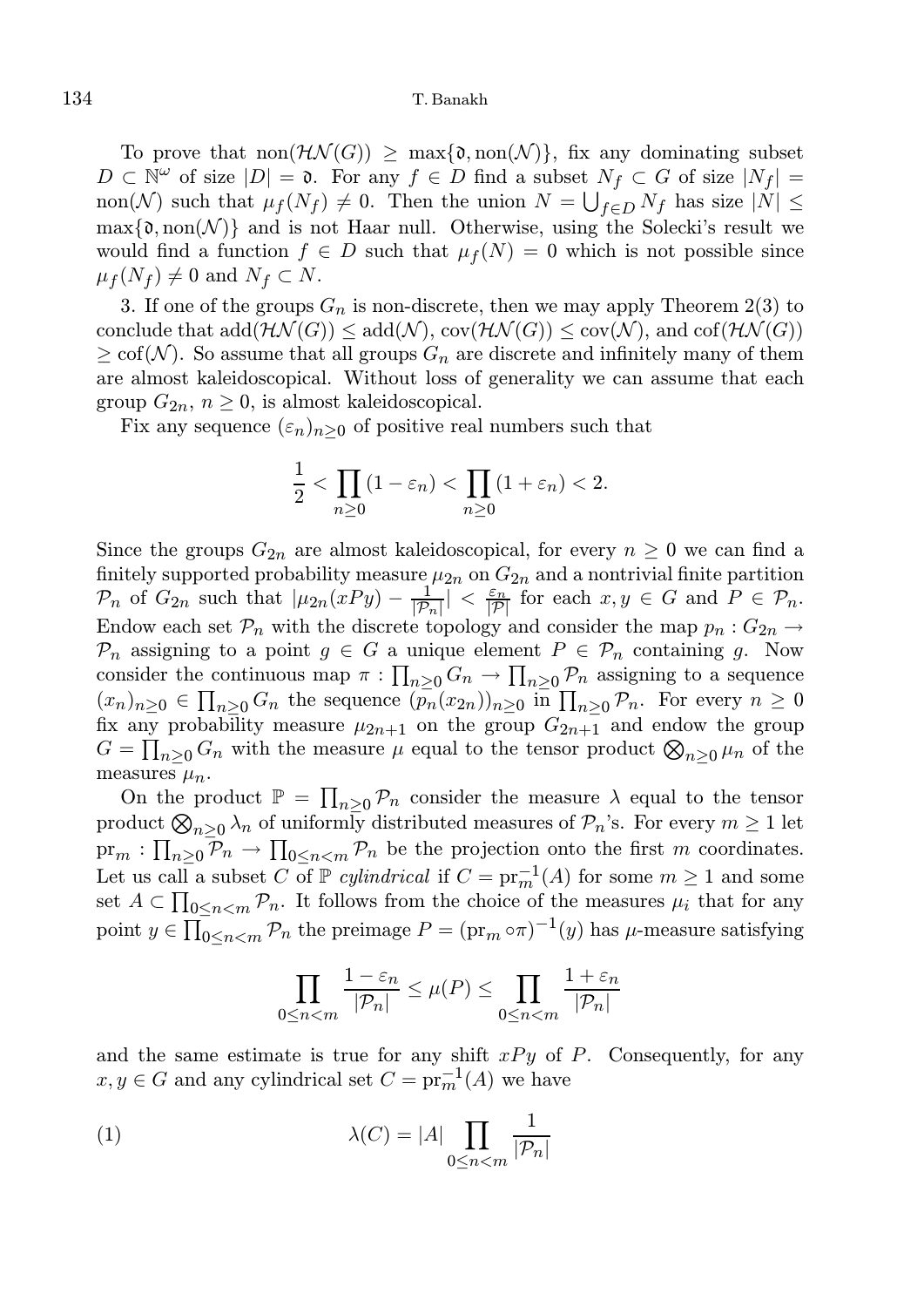To prove that  $\text{non}(\mathcal{H}\mathcal{N}(G)) > \max\{\mathfrak{d},\text{non}(\mathcal{N})\}\$ , fix any dominating subset  $D \subset \mathbb{N}^{\omega}$  of size  $|D| = \mathfrak{d}$ . For any  $f \in D$  find a subset  $N_f \subset G$  of size  $|N_f| =$ non(N) such that  $\mu_f(N_f) \neq 0$ . Then the union  $N = \bigcup_{f \in D} N_f$  has size  $|N| \leq$  $\max\{\mathfrak{d},\text{non}(\mathcal{N})\}\$ and is not Haar null. Otherwise, using the Solecki's result we would find a function  $f \in D$  such that  $\mu_f(N) = 0$  which is not possible since  $\mu_f(N_f) \neq 0$  and  $N_f \subset N$ .

3. If one of the groups  $G_n$  is non-discrete, then we may apply Theorem 2(3) to conclude that  $add(\mathcal{HN}(G)) \leq add(\mathcal{N}), cov(\mathcal{HN}(G)) \leq cov(\mathcal{N}),$  and  $cof(\mathcal{HN}(G))$  $\geq$  cof(N). So assume that all groups  $G_n$  are discrete and infinitely many of them are almost kaleidoscopical. Without loss of generality we can assume that each group  $G_{2n}$ ,  $n \geq 0$ , is almost kaleidoscopical.

Fix any sequence  $(\varepsilon_n)_{n>0}$  of positive real numbers such that

$$
\frac{1}{2} < \prod_{n \ge 0} (1 - \varepsilon_n) < \prod_{n \ge 0} (1 + \varepsilon_n) < 2.
$$

Since the groups  $G_{2n}$  are almost kaleidoscopical, for every  $n \geq 0$  we can find a finitely supported probability measure  $\mu_{2n}$  on  $G_{2n}$  and a nontrivial finite partition  $\mathcal{P}_n$  of  $G_{2n}$  such that  $|\mu_{2n}(xPy) - \frac{1}{|\mathcal{P}_n|}| < \frac{\varepsilon_n}{|\mathcal{P}|}$  for each  $x, y \in G$  and  $P \in \mathcal{P}_n$ . Endow each set  $\mathcal{P}_n$  with the discrete topology and consider the map  $p_n: G_{2n} \to$  $\mathcal{P}_n$  assigning to a point  $g \in G$  a unique element  $P \in \mathcal{P}_n$  containing g. Now consider the continuous map  $\pi: \prod_{n\geq 0} G_n \to \prod_{n\geq 0} \mathcal{P}_n$  assigning to a sequence  $(x_n)_{n\geq 0} \in \prod_{n\geq 0} G_n$  the sequence  $(p_n(x_{2n}))_{n\geq 0}$  in  $\prod_{n\geq 0} \mathcal{P}_n$ . For every  $n \geq 0$ fix any probability measure  $\mu_{2n+1}$  on the group  $G_{2n+1}$  and endow the group  $G = \prod_{n \geq 0} G_n$  with the measure  $\mu$  equal to the tensor product  $\bigotimes_{n \geq 0} \mu_n$  of the measures  $\mu_n$ .

On the product  $\mathbb{P} = \prod_{n\geq 0} \mathcal{P}_n$  consider the measure  $\lambda$  equal to the tensor product  $\bigotimes_{n\geq 0}\lambda_n$  of uniformly distributed measures of  $\mathcal{P}_n$ 's. For every  $m\geq 1$  let  $\text{pr}_m: \prod_{n\geq 0} \mathcal{P}_n \to \prod_{0\leq n\leq m} \mathcal{P}_n$  be the projection onto the first m coordinates. Let us call a subset C of  $\mathbb P$  cylindrical if  $C = \text{pr}_m^{-1}(A)$  for some  $m \ge 1$  and some set  $A \subset \prod_{0 \leq n < m} \mathcal{P}_n$ . It follows from the choice of the measures  $\mu_i$  that for any point  $y \in \prod_{0 \leq n < m} \mathcal{P}_n$  the preimage  $P = (\text{pr}_m \circ \pi)^{-1}(y)$  has  $\mu$ -measure satisfying

$$
\prod_{0 \le n < m} \frac{1 - \varepsilon_n}{|\mathcal{P}_n|} \le \mu(P) \le \prod_{0 \le n < m} \frac{1 + \varepsilon_n}{|\mathcal{P}_n|}
$$

and the same estimate is true for any shift  $xPy$  of P. Consequently, for any  $x, y \in G$  and any cylindrical set  $C = \text{pr}_m^{-1}(A)$  we have

(1) 
$$
\lambda(C) = |A| \prod_{0 \le n < m} \frac{1}{|\mathcal{P}_n|}
$$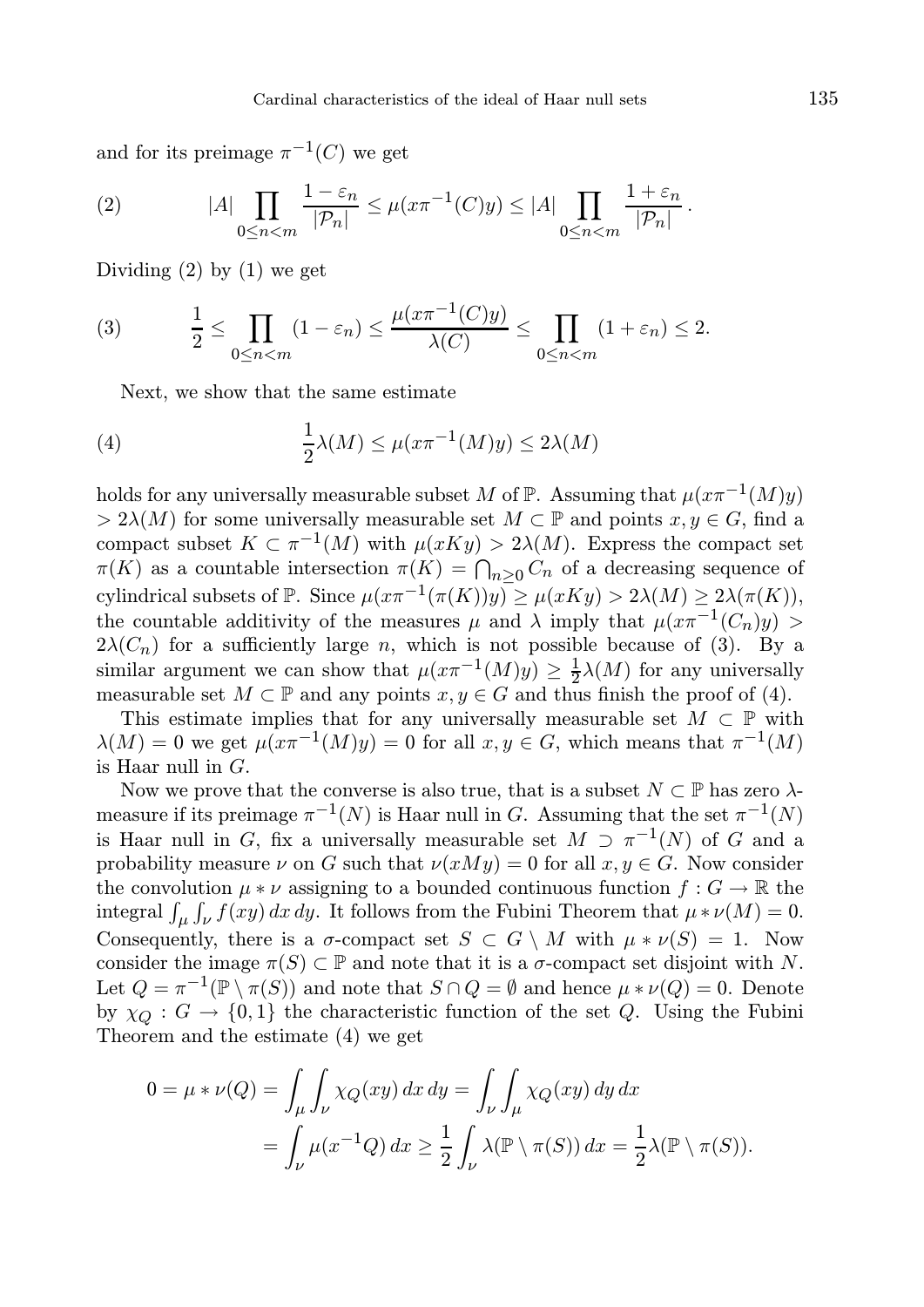and for its preimage  $\pi^{-1}(C)$  we get

(2) 
$$
|A| \prod_{0 \leq n < m} \frac{1 - \varepsilon_n}{|\mathcal{P}_n|} \leq \mu(x \pi^{-1}(C) y) \leq |A| \prod_{0 \leq n < m} \frac{1 + \varepsilon_n}{|\mathcal{P}_n|}
$$

Dividing  $(2)$  by  $(1)$  we get

(3) 
$$
\frac{1}{2} \leq \prod_{0 \leq n < m} (1 - \varepsilon_n) \leq \frac{\mu(x \pi^{-1}(C)y)}{\lambda(C)} \leq \prod_{0 \leq n < m} (1 + \varepsilon_n) \leq 2.
$$

Next, we show that the same estimate

(4) 
$$
\frac{1}{2}\lambda(M) \leq \mu(x\pi^{-1}(M)y) \leq 2\lambda(M)
$$

holds for any universally measurable subset M of  $\mathbb P$ . Assuming that  $\mu(x\pi^{-1}(M)y)$  $> 2\lambda(M)$  for some universally measurable set  $M \subset \mathbb{P}$  and points  $x, y \in G$ , find a compact subset  $K \subset \pi^{-1}(M)$  with  $\mu(xKy) > 2\lambda(M)$ . Express the compact set  $\pi(K)$  as a countable intersection  $\pi(K) = \bigcap_{n \geq 0} C_n$  of a decreasing sequence of cylindrical subsets of  $\mathbb P$ . Since  $\mu(x\pi^{-1}(\pi(K))y) \geq \mu(xKy) > 2\lambda(M) \geq 2\lambda(\pi(K)),$ the countable additivity of the measures  $\mu$  and  $\lambda$  imply that  $\mu(x\pi^{-1}(C_n)y)$  $2\lambda(C_n)$  for a sufficiently large n, which is not possible because of (3). By a similar argument we can show that  $\mu(x\pi^{-1}(M)y) \geq \frac{1}{2}\lambda(M)$  for any universally measurable set  $M \subset \mathbb{P}$  and any points  $x, y \in G$  and thus finish the proof of (4).

This estimate implies that for any universally measurable set  $M \subset \mathbb{P}$  with  $\lambda(M) = 0$  we get  $\mu(x\pi^{-1}(M)y) = 0$  for all  $x, y \in G$ , which means that  $\pi^{-1}(M)$ is Haar null in  $G$ .

Now we prove that the converse is also true, that is a subset  $N \subset \mathbb{P}$  has zero  $\lambda$ measure if its preimage  $\pi^{-1}(N)$  is Haar null in G. Assuming that the set  $\pi^{-1}(N)$ is Haar null in G, fix a universally measurable set  $M \supset \pi^{-1}(N)$  of G and a probability measure  $\nu$  on G such that  $\nu(xMy) = 0$  for all  $x, y \in G$ . Now consider the convolution  $\mu * \nu$  assigning to a bounded continuous function  $f : G \to \mathbb{R}$  the integral  $\int_{\mu} \int_{\nu} f(xy) dx dy$ . It follows from the Fubini Theorem that  $\mu * \nu(M) = 0$ . Consequently, there is a  $\sigma$ -compact set  $S \subset G \setminus M$  with  $\mu * \nu(S) = 1$ . Now consider the image  $\pi(S) \subset \mathbb{P}$  and note that it is a  $\sigma$ -compact set disjoint with N. Let  $Q = \pi^{-1}(\mathbb{P} \setminus \pi(S))$  and note that  $S \cap Q = \emptyset$  and hence  $\mu * \nu(Q) = 0$ . Denote by  $\chi_O : G \to \{0,1\}$  the characteristic function of the set Q. Using the Fubini Theorem and the estimate (4) we get

$$
0 = \mu * \nu(Q) = \int_{\mu} \int_{\nu} \chi_Q(xy) \, dx \, dy = \int_{\nu} \int_{\mu} \chi_Q(xy) \, dy \, dx
$$
  
= 
$$
\int_{\nu} \mu(x^{-1}Q) \, dx \ge \frac{1}{2} \int_{\nu} \lambda(\mathbb{P} \setminus \pi(S)) \, dx = \frac{1}{2} \lambda(\mathbb{P} \setminus \pi(S)).
$$

.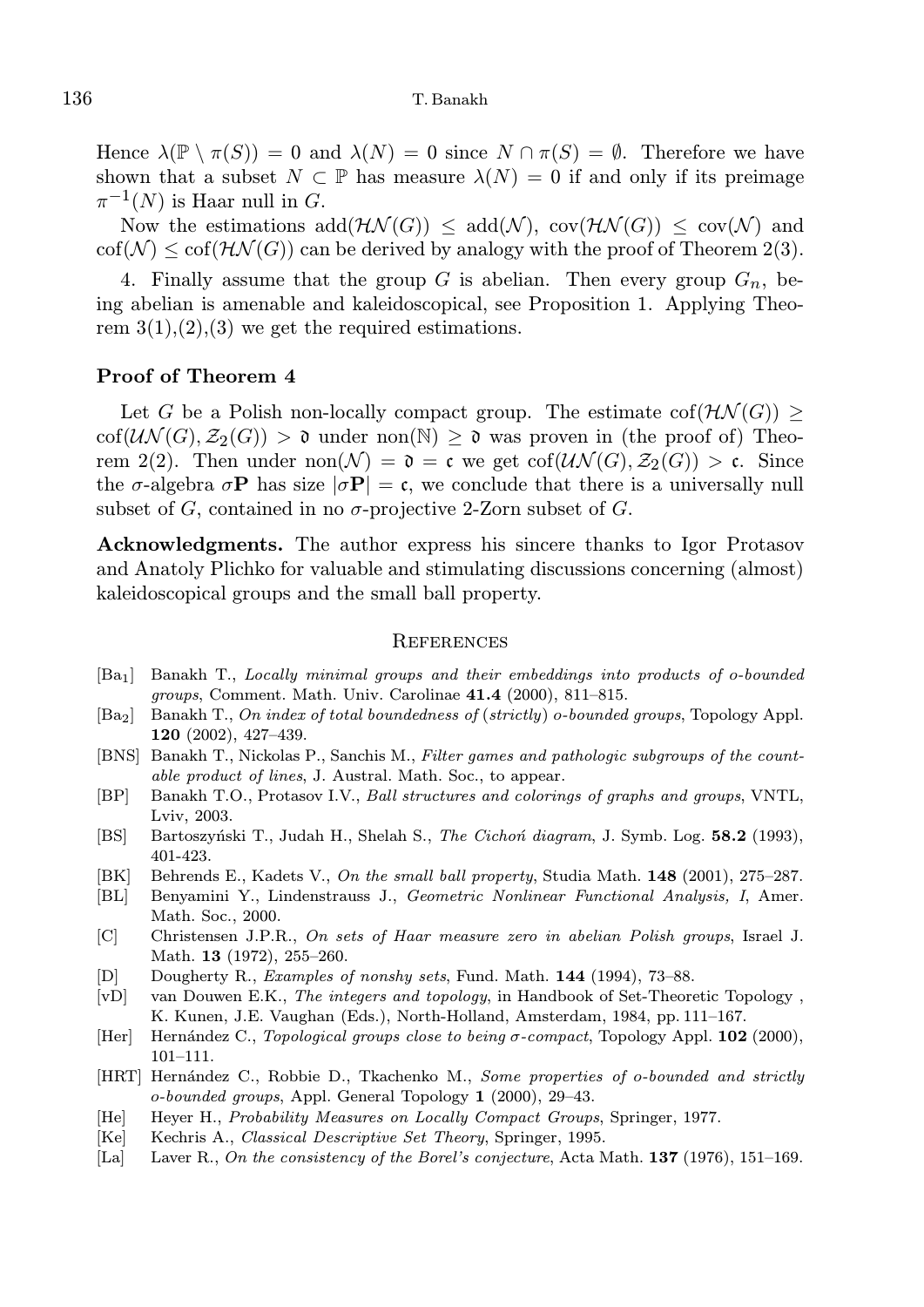Hence  $\lambda(\mathbb{P}\setminus \pi(S)) = 0$  and  $\lambda(N) = 0$  since  $N \cap \pi(S) = \emptyset$ . Therefore we have shown that a subset  $N \subset \mathbb{P}$  has measure  $\lambda(N) = 0$  if and only if its preimage  $\pi^{-1}(N)$  is Haar null in G.

Now the estimations  $add(\mathcal{HN}(G)) \le add(\mathcal{N}), cov(\mathcal{HN}(G)) \le cov(\mathcal{N})$  and  $\text{cof}(\mathcal{N}) \leq \text{cof}(\mathcal{H}\mathcal{N}(G))$  can be derived by analogy with the proof of Theorem 2(3).

4. Finally assume that the group  $G$  is abelian. Then every group  $G_n$ , being abelian is amenable and kaleidoscopical, see Proposition 1. Applying Theorem  $3(1),(2),(3)$  we get the required estimations.

#### Proof of Theorem 4

Let G be a Polish non-locally compact group. The estimate  $\text{cof}(\mathcal{H}\mathcal{N}(G)) \geq$  $\text{cof}(\mathcal{UN}(G), \mathcal{Z}_2(G)) > \mathfrak{d}$  under non $(\mathbb{N}) > \mathfrak{d}$  was proven in (the proof of) Theorem 2(2). Then under  $\text{non}(\mathcal{N}) = \mathfrak{d} = \mathfrak{c}$  we get  $\text{cof}(\mathcal{UN}(G), \mathcal{Z}_2(G)) > \mathfrak{c}$ . Since the  $\sigma$ -algebra  $\sigma$ **P** has size  $|\sigma$ **P** = c, we conclude that there is a universally null subset of G, contained in no  $\sigma$ -projective 2-Zorn subset of G.

Acknowledgments. The author express his sincere thanks to Igor Protasov and Anatoly Plichko for valuable and stimulating discussions concerning (almost) kaleidoscopical groups and the small ball property.

#### **REFERENCES**

- [Ba1] Banakh T., Locally minimal groups and their embeddings into products of o-bounded groups, Comment. Math. Univ. Carolinae 41.4 (2000), 811–815.
- [Ba<sub>2</sub>] Banakh T., On index of total boundedness of (strictly) o-bounded groups, Topology Appl. 120 (2002), 427–439.
- [BNS] Banakh T., Nickolas P., Sanchis M., Filter games and pathologic subgroups of the countable product of lines, J. Austral. Math. Soc., to appear.
- [BP] Banakh T.O., Protasov I.V., Ball structures and colorings of graphs and groups, VNTL, Lviv, 2003.
- [BS] Bartoszyński T., Judah H., Shelah S., The Cichoń diagram, J. Symb. Log. 58.2 (1993), 401-423.
- [BK] Behrends E., Kadets V., On the small ball property, Studia Math. 148 (2001), 275–287.
- [BL] Benyamini Y., Lindenstrauss J., Geometric Nonlinear Functional Analysis, I, Amer. Math. Soc., 2000.
- [C] Christensen J.P.R., On sets of Haar measure zero in abelian Polish groups, Israel J. Math. **13** (1972), 255-260.
- [D] Dougherty R., Examples of nonshy sets, Fund. Math. 144 (1994), 73–88.
- [vD] van Douwen E.K., The integers and topology, in Handbook of Set-Theoretic Topology, K. Kunen, J.E. Vaughan (Eds.), North-Holland, Amsterdam, 1984, pp. 111–167.
- [Her] Hern´andez C., Topological groups close to being σ-compact, Topology Appl. 102 (2000), 101–111.
- [HRT] Hernández C., Robbie D., Tkachenko M., Some properties of o-bounded and strictly  $o-bounded\text{ groups},$  Appl. General Topology 1 (2000), 29–43.
- [He] Heyer H., Probability Measures on Locally Compact Groups, Springer, 1977.
- [Ke] Kechris A., Classical Descriptive Set Theory, Springer, 1995.
- [La] Laver R., On the consistency of the Borel's conjecture, Acta Math. **137** (1976), 151–169.